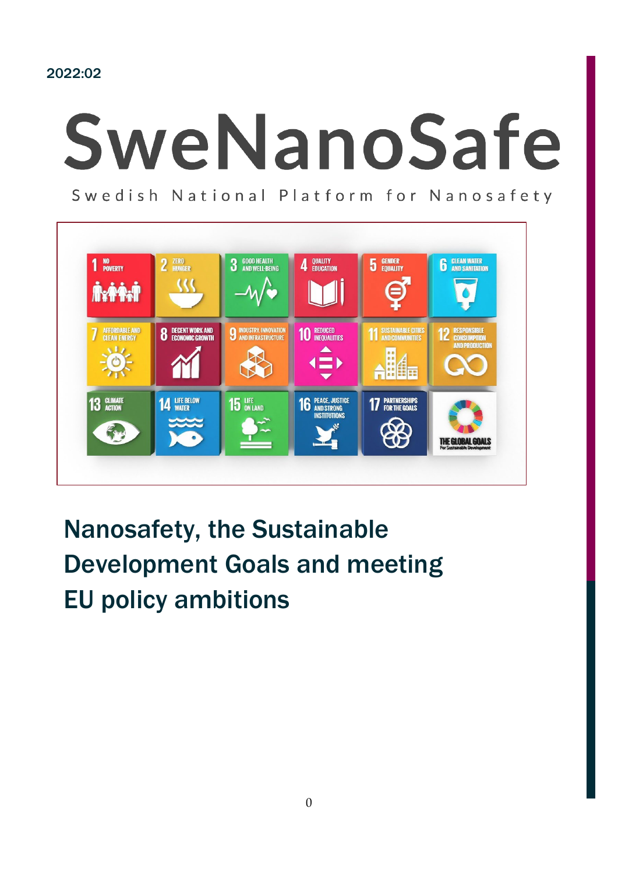2022:02

# SweNanoSafe

Swedish National Platform for Nanosafety



## Nanosafety, the Sustainable Development Goals and meeting EU policy ambitions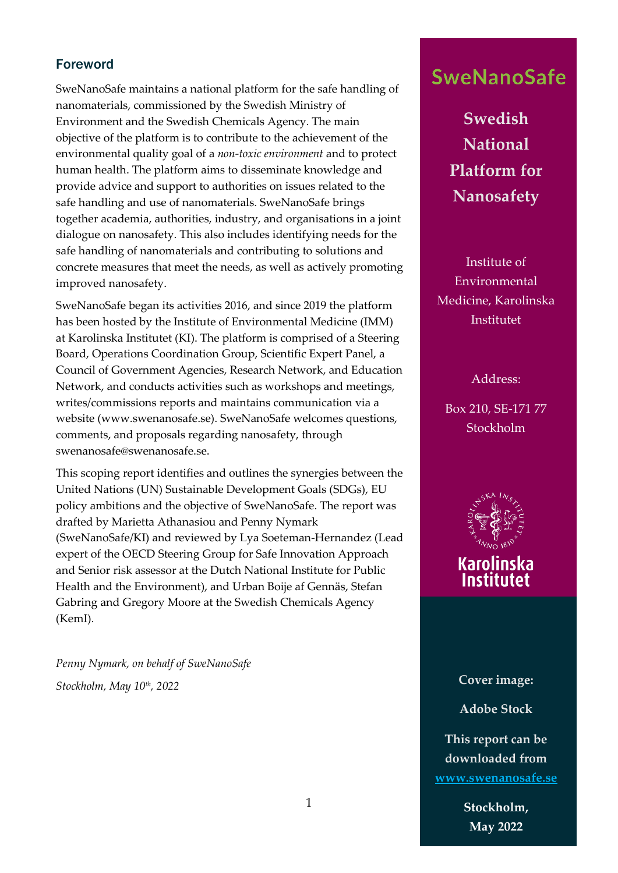#### Foreword

SweNanoSafe maintains a national platform for the safe handling of nanomaterials, commissioned by the Swedish Ministry of Environment and the Swedish Chemicals Agency. The main objective of the platform is to contribute to the achievement of the environmental quality goal of a *non-toxic environment* and to protect human health. The platform aims to disseminate knowledge and provide advice and support to authorities on issues related to the safe handling and use of nanomaterials. SweNanoSafe brings together academia, authorities, industry, and organisations in a joint dialogue on nanosafety. This also includes identifying needs for the safe handling of nanomaterials and contributing to solutions and concrete measures that meet the needs, as well as actively promoting improved nanosafety.

SweNanoSafe began its activities 2016, and since 2019 the platform has been hosted by the Institute of Environmental Medicine (IMM) at Karolinska Institutet (KI). The platform is comprised of a Steering Board, Operations Coordination Group, Scientific Expert Panel, a Council of Government Agencies, Research Network, and Education Network, and conducts activities such as workshops and meetings, writes/commissions reports and maintains communication via a website (www.swenanosafe.se). SweNanoSafe welcomes questions, comments, and proposals regarding nanosafety, through swenanosafe@swenanosafe.se.

This scoping report identifies and outlines the synergies between the United Nations (UN) Sustainable Development Goals (SDGs), EU policy ambitions and the objective of SweNanoSafe. The report was drafted by Marietta Athanasiou and Penny Nymark (SweNanoSafe/KI) and reviewed by Lya Soeteman-Hernandez (Lead expert of the OECD Steering Group for Safe Innovation Approach and Senior risk assessor at the Dutch National Institute for Public Health and the Environment), and Urban Boije af Gennäs, Stefan Gabring and Gregory Moore at the Swedish Chemicals Agency (KemI).

*Penny Nymark, on behalf of SweNanoSafe Stockholm, May 10th, 2022* 

## **SweNanoSafe**

**Swedish National Platform for Nanosafety**

Institute of Environmental Medicine, Karolinska Institutet

Address:

Box 210, SE-171 77 Stockholm



# **Karolinska**

**Cover image: Adobe Stock This report can be downloaded from [www.swenanosafe.se](http://www.swenanosafe.se/)**

> **Stockholm, May 2022**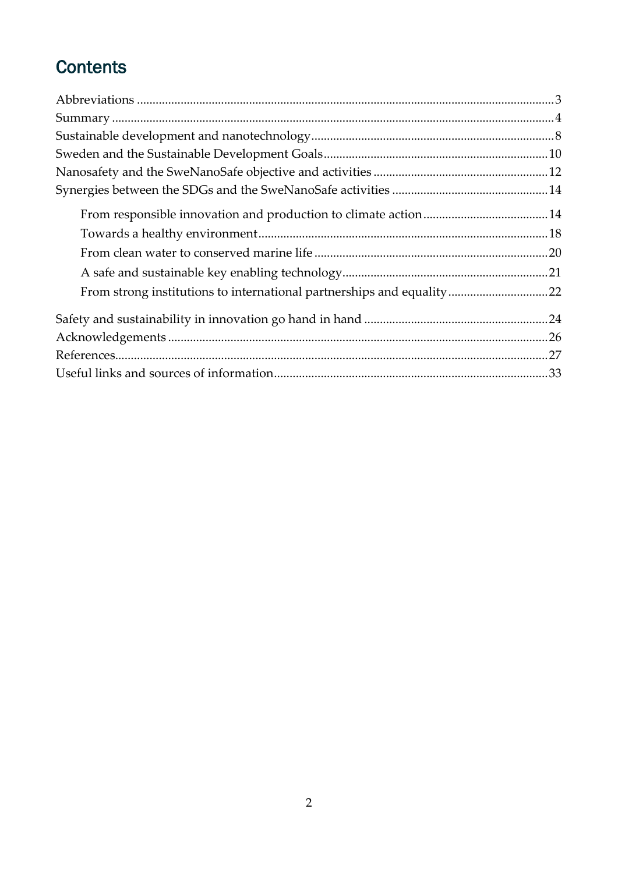## **Contents**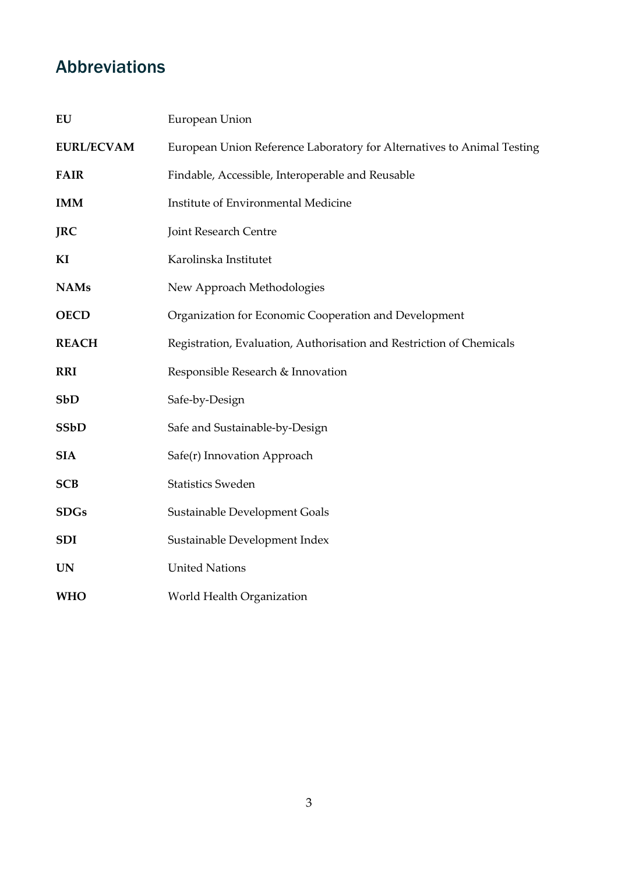## <span id="page-3-0"></span>Abbreviations

| EU                | European Union                                                         |
|-------------------|------------------------------------------------------------------------|
| <b>EURL/ECVAM</b> | European Union Reference Laboratory for Alternatives to Animal Testing |
| <b>FAIR</b>       | Findable, Accessible, Interoperable and Reusable                       |
| <b>IMM</b>        | Institute of Environmental Medicine                                    |
| <b>JRC</b>        | Joint Research Centre                                                  |
| KI                | Karolinska Institutet                                                  |
| <b>NAMs</b>       | New Approach Methodologies                                             |
| <b>OECD</b>       | Organization for Economic Cooperation and Development                  |
| <b>REACH</b>      | Registration, Evaluation, Authorisation and Restriction of Chemicals   |
| <b>RRI</b>        | Responsible Research & Innovation                                      |
| <b>SbD</b>        | Safe-by-Design                                                         |
| <b>SSbD</b>       | Safe and Sustainable-by-Design                                         |
| <b>SIA</b>        | Safe(r) Innovation Approach                                            |
| <b>SCB</b>        | <b>Statistics Sweden</b>                                               |
| <b>SDGs</b>       | Sustainable Development Goals                                          |
| <b>SDI</b>        | Sustainable Development Index                                          |
| <b>UN</b>         | <b>United Nations</b>                                                  |
| <b>WHO</b>        | World Health Organization                                              |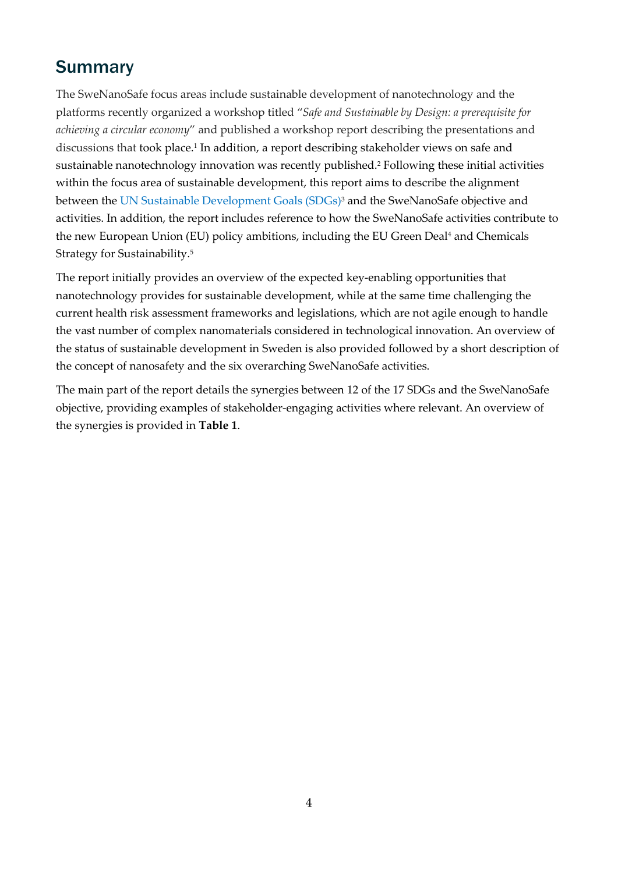## <span id="page-4-0"></span>**Summary**

The SweNanoSafe focus areas include sustainable development of nanotechnology and the platforms recently organized a workshop titled "*Safe and Sustainable by Design: a prerequisite for achieving a circular economy*" and published a workshop report describing the presentations and discussions that took place.<sup>1</sup> In addition, a report describing stakeholder views on safe and sustainable nanotechnology innovation was recently published.2 Following these initial activities within the focus area of sustainable development, this report aims to describe the alignment between the UN Sustainable Development Goals (SDGs)<sup>3</sup> and the SweNanoSafe objective and activities. In addition, the report includes reference to how the SweNanoSafe activities contribute to the new European Union (EU) policy ambitions, including the EU Green Deal<sup>4</sup> and Chemicals Strategy for Sustainability.5

The report initially provides an overview of the expected key-enabling opportunities that nanotechnology provides for sustainable development, while at the same time challenging the current health risk assessment frameworks and legislations, which are not agile enough to handle the vast number of complex nanomaterials considered in technological innovation. An overview of the status of sustainable development in Sweden is also provided followed by a short description of the concept of nanosafety and the six overarching SweNanoSafe activities.

The main part of the report details the synergies between 12 of the 17 SDGs and the SweNanoSafe objective, providing examples of stakeholder-engaging activities where relevant. An overview of the synergies is provided in **Table 1**.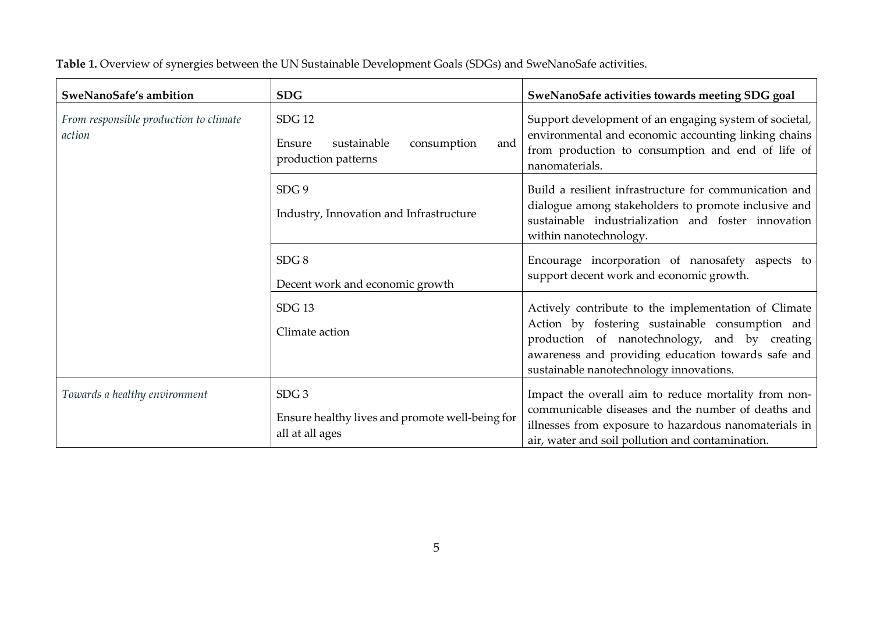| SweNanoSafe's ambition                           | <b>SDG</b>                                                                             | SweNanoSafe activities towards meeting SDG goal                                                                                                                                                                                                           |
|--------------------------------------------------|----------------------------------------------------------------------------------------|-----------------------------------------------------------------------------------------------------------------------------------------------------------------------------------------------------------------------------------------------------------|
| From responsible production to climate<br>action | <b>SDG 12</b><br>sustainable<br>Ensure<br>consumption<br>and<br>production patterns    | Support development of an engaging system of societal,<br>environmental and economic accounting linking chains<br>from production to consumption and end of life of<br>nanomaterials.                                                                     |
|                                                  | SDG <sub>9</sub><br>Industry, Innovation and Infrastructure                            | Build a resilient infrastructure for communication and<br>dialogue among stakeholders to promote inclusive and<br>sustainable industrialization and foster innovation<br>within nanotechnology.                                                           |
|                                                  | SDG <sub>8</sub><br>Decent work and economic growth                                    | Encourage incorporation of nanosafety aspects to<br>support decent work and economic growth.                                                                                                                                                              |
|                                                  | SDG <sub>13</sub><br>Climate action                                                    | Actively contribute to the implementation of Climate<br>Action by fostering sustainable consumption and<br>production of nanotechnology, and by creating<br>awareness and providing education towards safe and<br>sustainable nanotechnology innovations. |
| Towards a healthy environment                    | SDG <sub>3</sub><br>Ensure healthy lives and promote well-being for<br>all at all ages | Impact the overall aim to reduce mortality from non-<br>communicable diseases and the number of deaths and<br>illnesses from exposure to hazardous nanomaterials in<br>air, water and soil pollution and contamination.                                   |

**Table 1.** Overview of synergies between the UN Sustainable Development Goals (SDGs) and SweNanoSafe activities.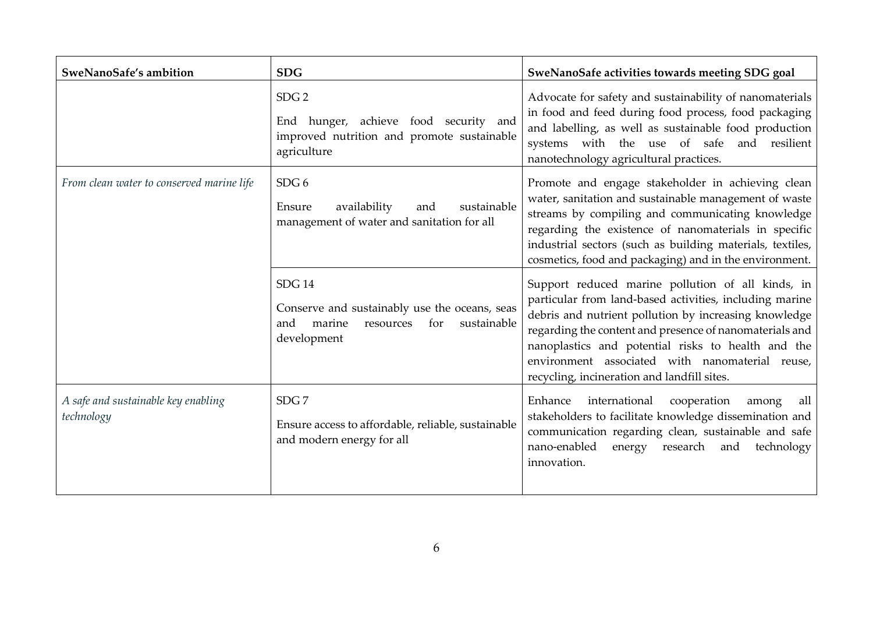| SweNanoSafe's ambition                            | <b>SDG</b>                                                                                                                        | SweNanoSafe activities towards meeting SDG goal                                                                                                                                                                                                                                                                                                                                          |
|---------------------------------------------------|-----------------------------------------------------------------------------------------------------------------------------------|------------------------------------------------------------------------------------------------------------------------------------------------------------------------------------------------------------------------------------------------------------------------------------------------------------------------------------------------------------------------------------------|
|                                                   | SDG <sub>2</sub><br>End hunger, achieve food security and<br>improved nutrition and promote sustainable<br>agriculture            | Advocate for safety and sustainability of nanomaterials<br>in food and feed during food process, food packaging<br>and labelling, as well as sustainable food production<br>systems with the use of safe and resilient<br>nanotechnology agricultural practices.                                                                                                                         |
| From clean water to conserved marine life         | SDG <sub>6</sub><br>sustainable<br>availability<br>Ensure<br>and<br>management of water and sanitation for all                    | Promote and engage stakeholder in achieving clean<br>water, sanitation and sustainable management of waste<br>streams by compiling and communicating knowledge<br>regarding the existence of nanomaterials in specific<br>industrial sectors (such as building materials, textiles,<br>cosmetics, food and packaging) and in the environment.                                            |
|                                                   | <b>SDG 14</b><br>Conserve and sustainably use the oceans, seas<br>marine<br>for<br>sustainable<br>and<br>resources<br>development | Support reduced marine pollution of all kinds, in<br>particular from land-based activities, including marine<br>debris and nutrient pollution by increasing knowledge<br>regarding the content and presence of nanomaterials and<br>nanoplastics and potential risks to health and the<br>environment associated with nanomaterial reuse,<br>recycling, incineration and landfill sites. |
| A safe and sustainable key enabling<br>technology | SDG7<br>Ensure access to affordable, reliable, sustainable<br>and modern energy for all                                           | international<br>cooperation<br>Enhance<br>all<br>among<br>stakeholders to facilitate knowledge dissemination and<br>communication regarding clean, sustainable and safe<br>energy research and<br>nano-enabled<br>technology<br>innovation.                                                                                                                                             |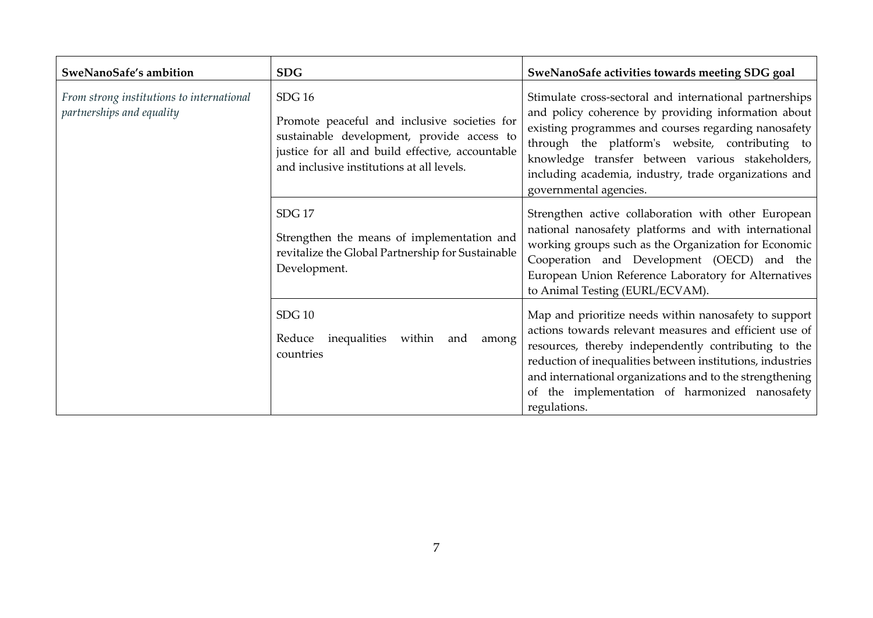| SweNanoSafe's ambition                                                 | <b>SDG</b>                                                                                                                                                                                                   | SweNanoSafe activities towards meeting SDG goal                                                                                                                                                                                                                                                                                                                     |
|------------------------------------------------------------------------|--------------------------------------------------------------------------------------------------------------------------------------------------------------------------------------------------------------|---------------------------------------------------------------------------------------------------------------------------------------------------------------------------------------------------------------------------------------------------------------------------------------------------------------------------------------------------------------------|
| From strong institutions to international<br>partnerships and equality | <b>SDG 16</b><br>Promote peaceful and inclusive societies for<br>sustainable development, provide access to<br>justice for all and build effective, accountable<br>and inclusive institutions at all levels. | Stimulate cross-sectoral and international partnerships<br>and policy coherence by providing information about<br>existing programmes and courses regarding nanosafety<br>through the platform's website, contributing to<br>knowledge transfer between various stakeholders,<br>including academia, industry, trade organizations and<br>governmental agencies.    |
|                                                                        | SDG <sub>17</sub><br>Strengthen the means of implementation and<br>revitalize the Global Partnership for Sustainable<br>Development.                                                                         | Strengthen active collaboration with other European<br>national nanosafety platforms and with international<br>working groups such as the Organization for Economic<br>Cooperation and Development (OECD) and the<br>European Union Reference Laboratory for Alternatives<br>to Animal Testing (EURL/ECVAM).                                                        |
|                                                                        | <b>SDG 10</b><br>Reduce inequalities<br>within<br>and<br>among<br>countries                                                                                                                                  | Map and prioritize needs within nanosafety to support<br>actions towards relevant measures and efficient use of<br>resources, thereby independently contributing to the<br>reduction of inequalities between institutions, industries<br>and international organizations and to the strengthening<br>of the implementation of harmonized nanosafety<br>regulations. |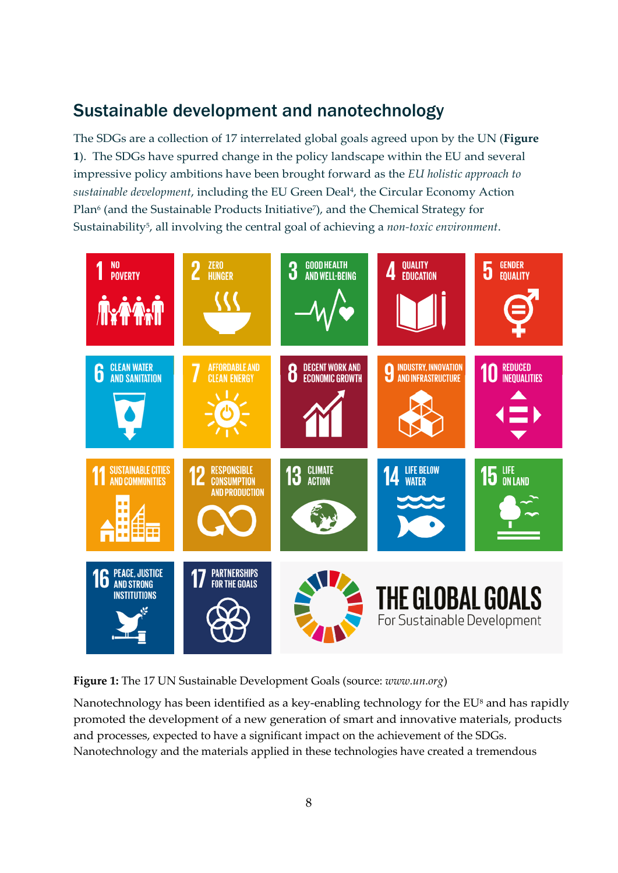## <span id="page-8-0"></span>Sustainable development and nanotechnology

The SDGs are a collection of 17 interrelated global goals agreed upon by the UN (**Figure 1**). The SDGs have spurred change in the policy landscape within the EU and several impressive policy ambitions have been brought forward as the *EU holistic approach to sustainable development*, including the EU Green Deal4, the Circular Economy Action Plan<sup>6</sup> (and the Sustainable Products Initiative<sup>7</sup>), and the Chemical Strategy for Sustainability5, all involving the central goal of achieving a *non-toxic environment*.



**Figure 1:** The 17 UN Sustainable Development Goals (source: *www.un.org*)

Nanotechnology has been identified as a key-enabling technology for the EU<sup>8</sup> and has rapidly promoted the development of a new generation of smart and innovative materials, products and processes, expected to have a significant impact on the achievement of the SDGs. Nanotechnology and the materials applied in these technologies have created a tremendous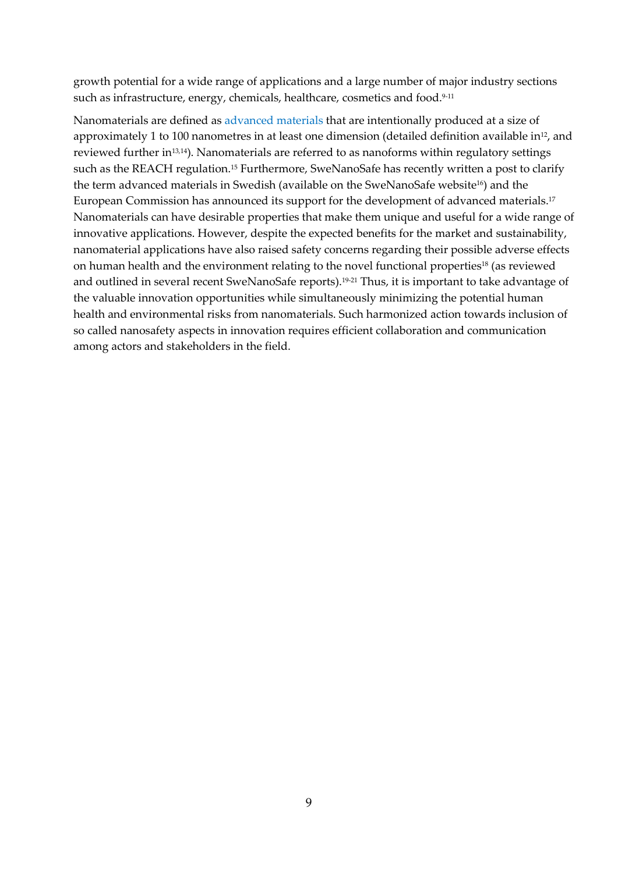growth potential for a wide range of applications and a large number of major industry sections such as infrastructure, energy, chemicals, healthcare, cosmetics and food.<sup>9-11</sup>

Nanomaterials are defined as [advanced materials](https://ec.europa.eu/info/research-and-innovation/research-area/industrial-research-and-innovation/key-enabling-technologies/advanced-materials-and-chemicals_en) that are intentionally produced at a size of approximately 1 to 100 nanometres in at least one dimension (detailed definition available in<sup>12</sup>, and reviewed further in13,14). Nanomaterials are referred to as nanoforms within regulatory settings such as the REACH regulation.<sup>15</sup> Furthermore, SweNanoSafe has recently written a post to clarify the term advanced materials in Swedish (available on the SweNanoSafe website<sup>16</sup>) and the European Commission has announced its support for the development of advanced materials.17 Nanomaterials can have desirable properties that make them unique and useful for a wide range of innovative applications. However, despite the expected benefits for the market and sustainability, nanomaterial applications have also raised safety concerns regarding their possible adverse effects on human health and the environment relating to the novel functional properties<sup>18</sup> (as reviewed and outlined in several recent SweNanoSafe reports).<sup>19-21</sup> Thus, it is important to take advantage of the valuable innovation opportunities while simultaneously minimizing the potential human health and environmental risks from nanomaterials. Such harmonized action towards inclusion of so called nanosafety aspects in innovation requires efficient collaboration and communication among actors and stakeholders in the field.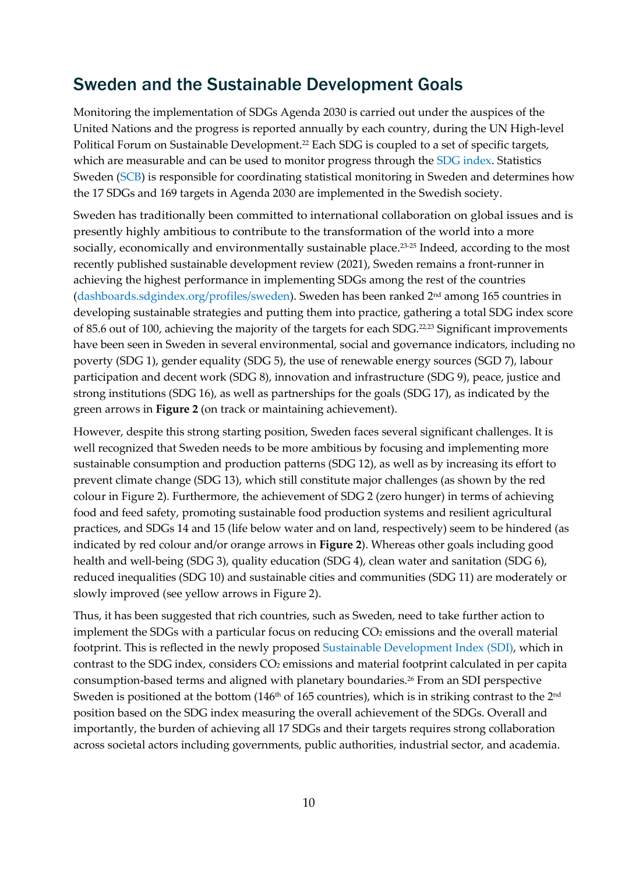## <span id="page-10-0"></span>Sweden and the Sustainable Development Goals

Monitoring the implementation of SDGs Agenda 2030 is carried out under the auspices of the United Nations and the progress is reported annually by each country, during the UN High-level Political Forum on Sustainable Development.<sup>22</sup> Each SDG is coupled to a set of specific targets, which are measurable and can be used to monitor progress through the [SDG index.](https://dashboards.sdgindex.org/) Statistics Sweden [\(SCB\)](https://www.scb.se/en/About-us/) is responsible for coordinating statistical monitoring in Sweden and determines how the 17 SDGs and 169 targets in Agenda 2030 are implemented in the Swedish society.

Sweden has traditionally been committed to international collaboration on global issues and is presently highly ambitious to contribute to the transformation of the world into a more socially, economically and environmentally sustainable place.<sup>23-25</sup> Indeed, according to the most recently published sustainable development review (2021), Sweden remains a front-runner in achieving the highest performance in implementing SDGs among the rest of the countries [\(dashboards.sdgindex.org/profiles/sweden\)](https://dashboards.sdgindex.org/profiles/sweden). Sweden has been ranked 2nd among 165 countries in developing sustainable strategies and putting them into practice, gathering a total SDG index score of 85.6 out of 100, achieving the majority of the targets for each SDG.22,23 Significant improvements have been seen in Sweden in several environmental, social and governance indicators, including no poverty (SDG 1), gender equality (SDG 5), the use of renewable energy sources (SGD 7), labour participation and decent work (SDG 8), innovation and infrastructure (SDG 9), peace, justice and strong institutions (SDG 16), as well as partnerships for the goals (SDG 17), as indicated by the green arrows in **Figure 2** (on track or maintaining achievement).

However, despite this strong starting position, Sweden faces several significant challenges. It is well recognized that Sweden needs to be more ambitious by focusing and implementing more sustainable consumption and production patterns (SDG 12), as well as by increasing its effort to prevent climate change (SDG 13), which still constitute major challenges (as shown by the red colour in Figure 2). Furthermore, the achievement of SDG 2 (zero hunger) in terms of achieving food and feed safety, promoting sustainable food production systems and resilient agricultural practices, and SDGs 14 and 15 (life below water and on land, respectively) seem to be hindered (as indicated by red colour and/or orange arrows in **Figure 2**). Whereas other goals including good health and well-being (SDG 3), quality education (SDG 4), clean water and sanitation (SDG 6), reduced inequalities (SDG 10) and sustainable cities and communities (SDG 11) are moderately or slowly improved (see yellow arrows in Figure 2).

Thus, it has been suggested that rich countries, such as Sweden, need to take further action to implement the SDGs with a particular focus on reducing CO<sub>2</sub> emissions and the overall material footprint. This is reflected in the newly proposed [Sustainable Development Index \(SDI\),](https://dashboards.sdgindex.org/) which in contrast to the SDG index, considers CO<sub>2</sub> emissions and material footprint calculated in per capita consumption-based terms and aligned with planetary boundaries.26 From an SDI perspective Sweden is positioned at the bottom (146<sup>th</sup> of 165 countries), which is in striking contrast to the 2<sup>nd</sup> position based on the SDG index measuring the overall achievement of the SDGs. Overall and importantly, the burden of achieving all 17 SDGs and their targets requires strong collaboration across societal actors including governments, public authorities, industrial sector, and academia.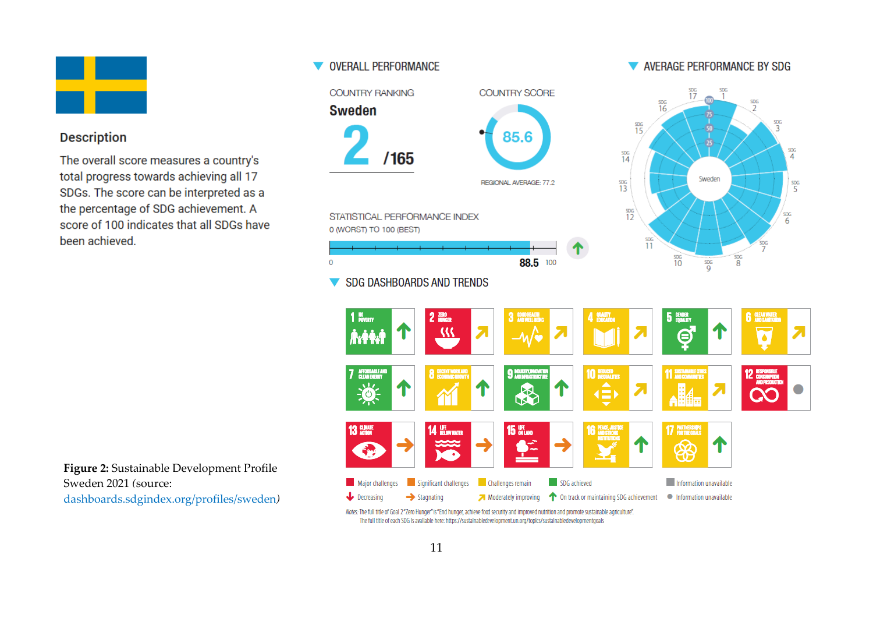

#### **Description**

The overall score measures a country's total progress towards achieving all 17 SDGs. The score can be interpreted as a the percentage of SDG achievement. A score of 100 indicates that all SDGs have been achieved.

**Figure 2:** Sustainable Development Profile Sweden 2021 *(*source: [dashboards.sdgindex.org/profiles/sweden](https://dashboards.sdgindex.org/profiles/sweden)*)*

#### **V OVERALL PERFORMANCE COUNTRY RANKING COUNTRY SCORE Sweden**  $rac{SDG}{15}$ 85.6  $\frac{SDG}{14}$  $/165$ REGIONAL AVERAGE: 77.2  $rac{306}{13}$  $rac{90}{12}$ STATISTICAL PERFORMANCE INDEX 0 (WORST) TO 100 (BEST) 88.5 100  $\overline{0}$



Moderately improving **1** On track or maintaining SDG achievement

Notes: The full title of Goal 2"Zero Hunger" is "End hunger, achieve food security and improved nutrition and promote sustainable agriculture". The full title of each SDG is available here: https://sustainabledevelopment.un.org/topics/sustainabledevelopmentgoals

#### V AVERAGE PERFORMANCE BY SDG

Sweden

Information unavailable

 $\frac{SDG}{2}$ 

SDG

 $\frac{\text{SDG}}{4}$ 

 $\frac{SDG}{5}$ 

 $\frac{\text{SDG}}{6}$ 

 $rac{SDG}{17}$ 

 $rac{SDG}{16}$ 

 $\rightarrow$  Stagnating

AFFORDABLE AN

YΟ

Decreasing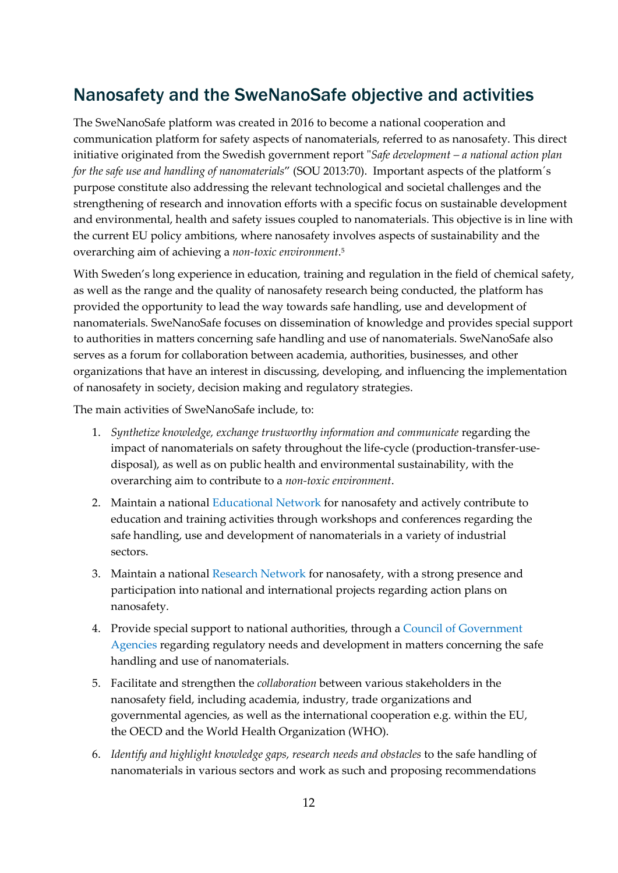## <span id="page-12-0"></span>Nanosafety and the SweNanoSafe objective and activities

The SweNanoSafe platform was created in 2016 to become a national cooperation and communication platform for safety aspects of nanomaterials, referred to as nanosafety. This direct initiative originated from the Swedish government report "*Safe development – a national action plan for the safe use and handling of nanomaterials*" (SOU 2013:70). Important aspects of the platform´s purpose constitute also addressing the relevant technological and societal challenges and the strengthening of research and innovation efforts with a specific focus on sustainable development and environmental, health and safety issues coupled to nanomaterials. This objective is in line with the current EU policy ambitions, where nanosafety involves aspects of sustainability and the overarching aim of achieving a *non-toxic environment*. 5

With Sweden's long experience in education, training and regulation in the field of chemical safety, as well as the range and the quality of nanosafety research being conducted, the platform has provided the opportunity to lead the way towards safe handling, use and development of nanomaterials. SweNanoSafe focuses on dissemination of knowledge and provides special support to authorities in matters concerning safe handling and use of nanomaterials. SweNanoSafe also serves as a forum for collaboration between academia, authorities, businesses, and other organizations that have an interest in discussing, developing, and influencing the implementation of nanosafety in society, decision making and regulatory strategies.

The main activities of SweNanoSafe include, to:

- 1. *Synthetize knowledge, exchange trustworthy information and communicate* regarding the impact of nanomaterials on safety throughout the life-cycle (production-transfer-usedisposal), as well as on public health and environmental sustainability, with the overarching aim to contribute to a *non-toxic environment*.
- 2. Maintain a national [Educational Network](https://swenanosafe.ki.se/utbildningsnatverk-education-network-education-network/) for nanosafety and actively contribute to education and training activities through workshops and conferences regarding the safe handling, use and development of nanomaterials in a variety of industrial sectors.
- 3. Maintain a national [Research Network](https://swenanosafe.ki.se/research-network/) for nanosafety, with a strong presence and participation into national and international projects regarding action plans on nanosafety.
- 4. Provide special support to national authorities, through a [Council of Government](https://swenanosafe.ki.se/myndighetsradet/)  [Agencies](https://swenanosafe.ki.se/myndighetsradet/) regarding regulatory needs and development in matters concerning the safe handling and use of nanomaterials.
- 5. Facilitate and strengthen the *collaboration* between various stakeholders in the nanosafety field, including academia, industry, trade organizations and governmental agencies, as well as the international cooperation e.g. within the EU, the OECD and the World Health Organization (WHO).
- 6. *Identify and highlight knowledge gaps, research needs and obstacles* to the safe handling of nanomaterials in various sectors and work as such and proposing recommendations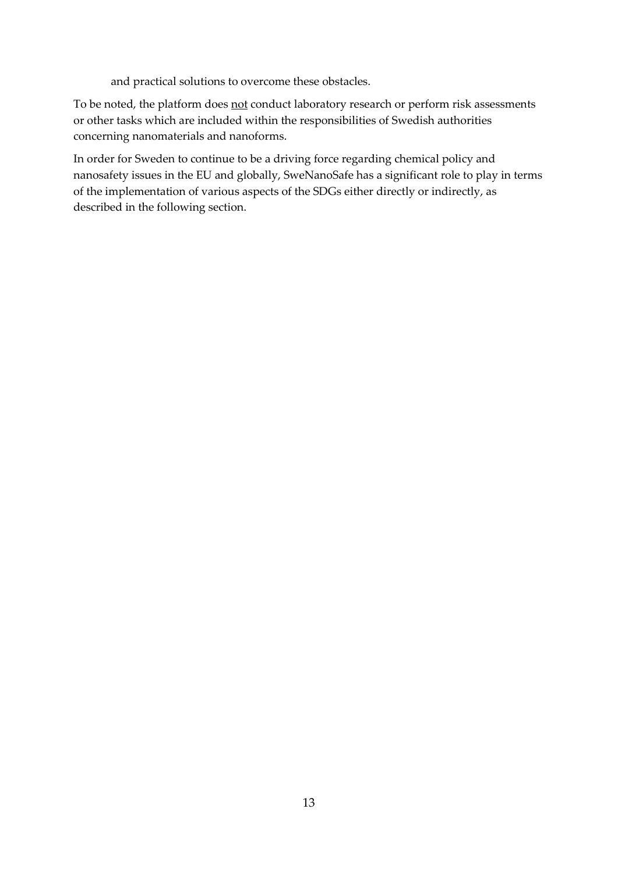and practical solutions to overcome these obstacles.

To be noted, the platform does not conduct laboratory research or perform risk assessments or other tasks which are included within the responsibilities of Swedish authorities concerning nanomaterials and nanoforms.

In order for Sweden to continue to be a driving force regarding chemical policy and nanosafety issues in the EU and globally, SweNanoSafe has a significant role to play in terms of the implementation of various aspects of the SDGs either directly or indirectly, as described in the following section.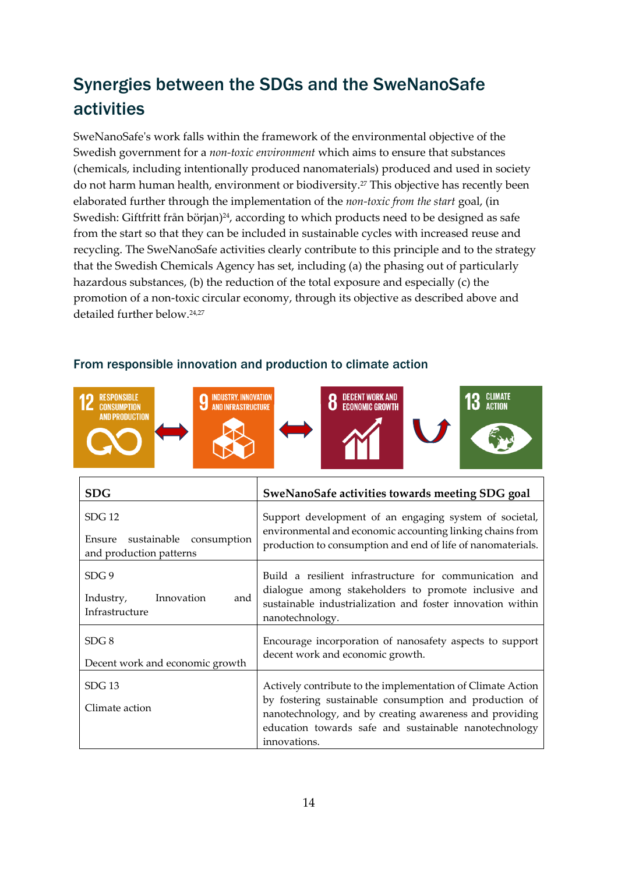## <span id="page-14-0"></span>Synergies between the SDGs and the SweNanoSafe activities

SweNanoSafe's work falls within the framework of the environmental objective of the Swedish government for a *non-toxic environment* which aims to ensure that substances (chemicals, including intentionally produced nanomaterials) produced and used in society do not harm human health, environment or biodiversity.27 This objective has recently been elaborated further through the implementation of the *non-toxic from the start* goal, (in Swedish: Giftfritt från början)<sup>24</sup>, according to which products need to be designed as safe from the start so that they can be included in sustainable cycles with increased reuse and recycling. The SweNanoSafe activities clearly contribute to this principle and to the strategy that the Swedish Chemicals Agency has set, including (a) the phasing out of particularly hazardous substances, (b) the reduction of the total exposure and especially (c) the promotion of a non-toxic circular economy, through its objective as described above and detailed further below. 24,27



#### <span id="page-14-1"></span>From responsible innovation and production to climate action

| <b>SDG</b>                                                                 | SweNanoSafe activities towards meeting SDG goal                                                                                                                                                                                                           |
|----------------------------------------------------------------------------|-----------------------------------------------------------------------------------------------------------------------------------------------------------------------------------------------------------------------------------------------------------|
| <b>SDG 12</b><br>Ensure sustainable consumption<br>and production patterns | Support development of an engaging system of societal,<br>environmental and economic accounting linking chains from<br>production to consumption and end of life of nanomaterials.                                                                        |
| SDG <sub>9</sub><br>Innovation<br>and<br>Industry,<br>Infrastructure       | Build a resilient infrastructure for communication and<br>dialogue among stakeholders to promote inclusive and<br>sustainable industrialization and foster innovation within<br>nanotechnology.                                                           |
| SDG 8<br>Decent work and economic growth                                   | Encourage incorporation of nanosafety aspects to support<br>decent work and economic growth.                                                                                                                                                              |
| $SDG$ 13<br>Climate action                                                 | Actively contribute to the implementation of Climate Action<br>by fostering sustainable consumption and production of<br>nanotechnology, and by creating awareness and providing<br>education towards safe and sustainable nanotechnology<br>innovations. |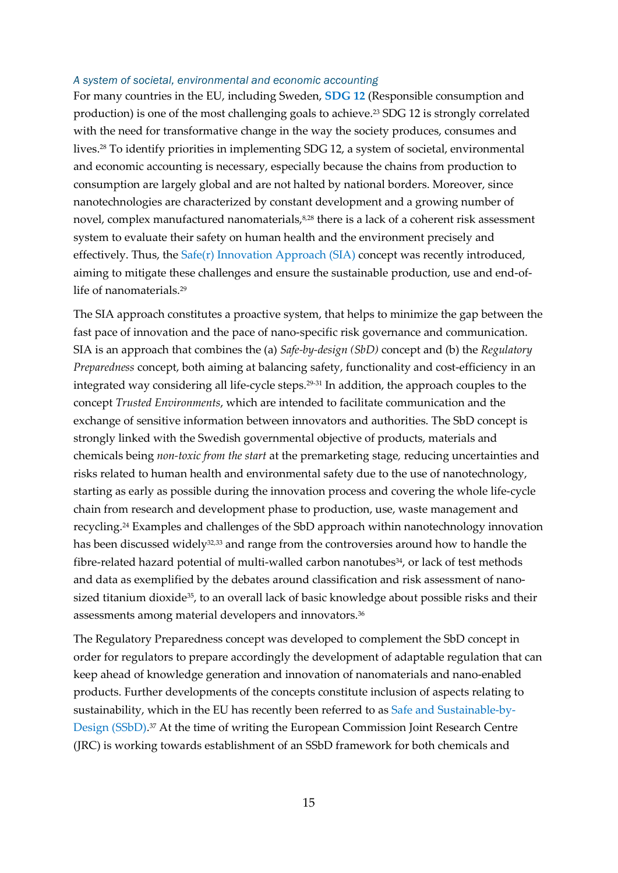#### *A system of societal, environmental and economic accounting*

For many countries in the EU, including Sweden, **[SDG 12](https://sdgs.un.org/goals/goal12)** (Responsible consumption and production) is one of the most challenging goals to achieve.23 SDG 12 is strongly correlated with the need for transformative change in the way the society produces, consumes and lives.28 To identify priorities in implementing SDG 12, a system of societal, environmental and economic accounting is necessary, especially because the chains from production to consumption are largely global and are not halted by national borders. Moreover, since nanotechnologies are characterized by constant development and a growing number of novel, complex manufactured nanomaterials,<sup>8,28</sup> there is a lack of a coherent risk assessment system to evaluate their safety on human health and the environment precisely and effectively. Thus, the [Safe\(r\) Innovation Approach \(SIA\)](https://www.oecd.org/officialdocuments/publicdisplaydocumentpdf/?cote=env/jm/mono(2020)36/REV1&doclanguage=en) concept was recently introduced, aiming to mitigate these challenges and ensure the sustainable production, use and end-oflife of nanomaterials.29

The SIA approach constitutes a proactive system, that helps to minimize the gap between the fast pace of innovation and the pace of nano-specific risk governance and communication. SIA is an approach that combines the (a) *Safe-by-design (SbD)* concept and (b) the *Regulatory Preparedness* concept, both aiming at balancing safety, functionality and cost-efficiency in an integrated way considering all life-cycle steps.29-31 In addition, the approach couples to the concept *Trusted Environments*, which are intended to facilitate communication and the exchange of sensitive information between innovators and authorities. The SbD concept is strongly linked with the Swedish governmental objective of products, materials and chemicals being *non-toxic from the start* at the premarketing stage*,* reducing uncertainties and risks related to human health and environmental safety due to the use of nanotechnology, starting as early as possible during the innovation process and covering the whole life-cycle chain from research and development phase to production, use, waste management and recycling.24 Examples and challenges of the SbD approach within nanotechnology innovation has been discussed widely<sup>32,33</sup> and range from the controversies around how to handle the fibre-related hazard potential of multi-walled carbon nanotubes<sup>34</sup>, or lack of test methods and data as exemplified by the debates around classification and risk assessment of nanosized titanium dioxide<sup>35</sup>, to an overall lack of basic knowledge about possible risks and their assessments among material developers and innovators.36

The Regulatory Preparedness concept was developed to complement the SbD concept in order for regulators to prepare accordingly the development of adaptable regulation that can keep ahead of knowledge generation and innovation of nanomaterials and nano-enabled products. Further developments of the concepts constitute inclusion of aspects relating to sustainability, which in the EU has recently been referred to as [Safe and Sustainable-by-](https://swenanosafe.ki.se/start/vad-innebar-safe-and-sustainable-by-design/safe-and-sustainable-by-design-a-prerequisite-for-achieving-a-circular-economy/)[Design \(SSbD\).](https://swenanosafe.ki.se/start/vad-innebar-safe-and-sustainable-by-design/safe-and-sustainable-by-design-a-prerequisite-for-achieving-a-circular-economy/) <sup>37</sup> At the time of writing the European Commission Joint Research Centre (JRC) is working towards establishment of an SSbD framework for both chemicals and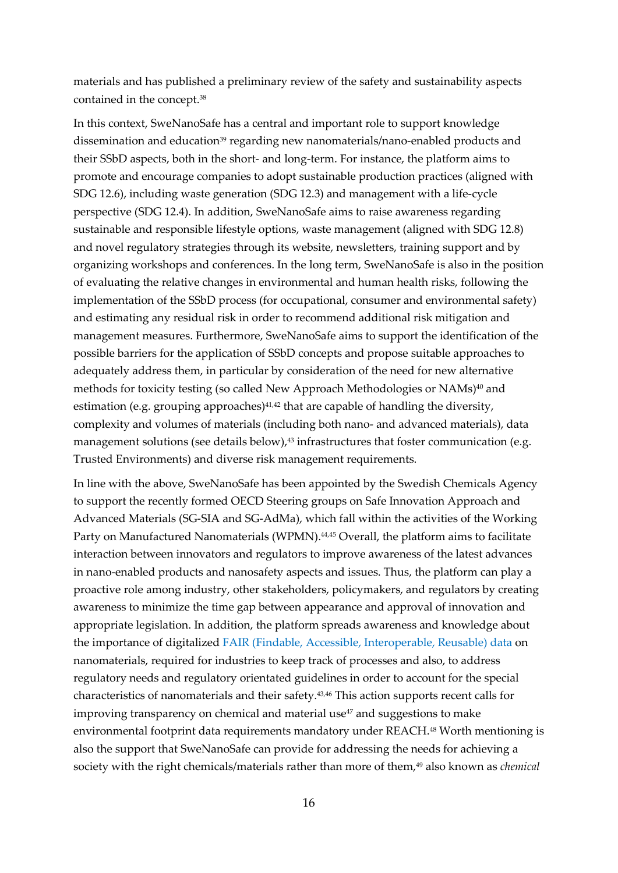materials and has published a preliminary review of the safety and sustainability aspects contained in the concept.38

In this context, SweNanoSafe has a central and important role to support knowledge dissemination and education<sup>39</sup> regarding new nanomaterials/nano-enabled products and their SSbD aspects, both in the short- and long-term. For instance, the platform aims to promote and encourage companies to adopt sustainable production practices (aligned with SDG 12.6), including waste generation (SDG 12.3) and management with a life-cycle perspective (SDG 12.4). In addition, SweNanoSafe aims to raise awareness regarding sustainable and responsible lifestyle options, waste management (aligned with SDG 12.8) and novel regulatory strategies through its website, newsletters, training support and by organizing workshops and conferences. In the long term, SweNanoSafe is also in the position of evaluating the relative changes in environmental and human health risks, following the implementation of the SSbD process (for occupational, consumer and environmental safety) and estimating any residual risk in order to recommend additional risk mitigation and management measures. Furthermore, SweNanoSafe aims to support the identification of the possible barriers for the application of SSbD concepts and propose suitable approaches to adequately address them, in particular by consideration of the need for new alternative methods for toxicity testing (so called New Approach Methodologies or NAMs)<sup>40</sup> and estimation (e.g. grouping approaches)<sup>41,42</sup> that are capable of handling the diversity, complexity and volumes of materials (including both nano- and advanced materials), data management solutions (see details below),<sup>43</sup> infrastructures that foster communication (e.g. Trusted Environments) and diverse risk management requirements.

In line with the above, SweNanoSafe has been appointed by the Swedish Chemicals Agency to support the recently formed OECD Steering groups on Safe Innovation Approach and Advanced Materials (SG-SIA and SG-AdMa), which fall within the activities of the Working Party on Manufactured Nanomaterials (WPMN).<sup>44,45</sup> Overall, the platform aims to facilitate interaction between innovators and regulators to improve awareness of the latest advances in nano-enabled products and nanosafety aspects and issues. Thus, the platform can play a proactive role among industry, other stakeholders, policymakers, and regulators by creating awareness to minimize the time gap between appearance and approval of innovation and appropriate legislation. In addition, the platform spreads awareness and knowledge about the importance of digitalized [FAIR \(Findable, Accessible, Interoperable, Reusable\) data](https://swenanosafe.ki.se/start/data-for-nanosakerhet/nanosafety-data/) on nanomaterials, required for industries to keep track of processes and also, to address regulatory needs and regulatory orientated guidelines in order to account for the special characteristics of nanomaterials and their safety.43,46 This action supports recent calls for improving transparency on chemical and material use<sup>47</sup> and suggestions to make environmental footprint data requirements mandatory under REACH.<sup>48</sup> Worth mentioning is also the support that SweNanoSafe can provide for addressing the needs for achieving a society with the right chemicals/materials rather than more of them,<sup>49</sup> also known as *chemical*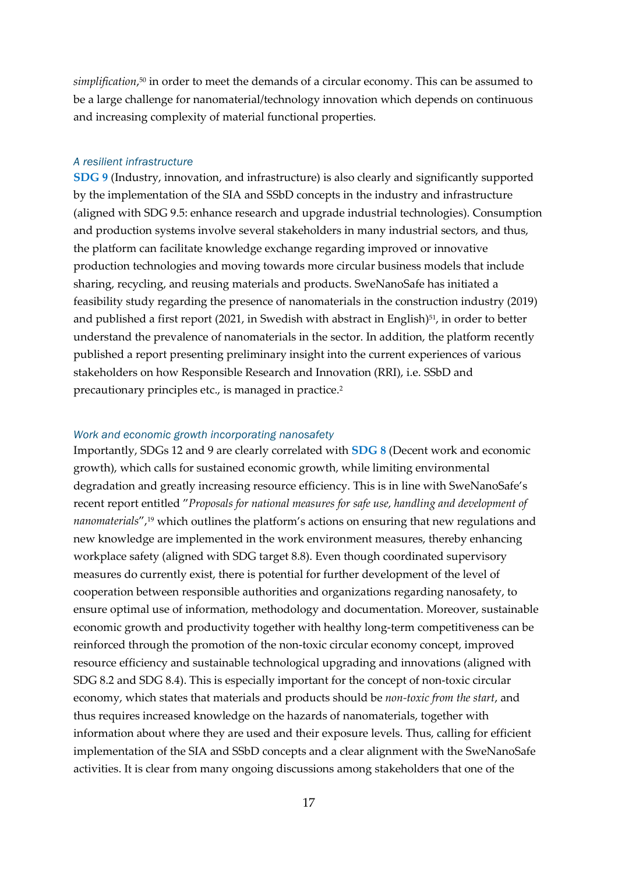*simplification*, <sup>50</sup> in order to meet the demands of a circular economy. This can be assumed to be a large challenge for nanomaterial/technology innovation which depends on continuous and increasing complexity of material functional properties.

#### *A resilient infrastructure*

**[SDG 9](https://sdgs.un.org/goals/goal9)** (Industry, innovation, and infrastructure) is also clearly and significantly supported by the implementation of the SIA and SSbD concepts in the industry and infrastructure (aligned with SDG 9.5: enhance research and upgrade industrial technologies). Consumption and production systems involve several stakeholders in many industrial sectors, and thus, the platform can facilitate knowledge exchange regarding improved or innovative production technologies and moving towards more circular business models that include sharing, recycling, and reusing materials and products. SweNanoSafe has initiated a feasibility study regarding the presence of nanomaterials in the construction industry (2019) and published a first report (2021, in Swedish with abstract in English)<sup>51</sup>, in order to better understand the prevalence of nanomaterials in the sector. In addition, the platform recently published a report presenting preliminary insight into the current experiences of various stakeholders on how Responsible Research and Innovation (RRI), i.e. SSbD and precautionary principles etc., is managed in practice.2

#### *Work and economic growth incorporating nanosafety*

Importantly, SDGs 12 and 9 are clearly correlated with **[SDG 8](https://sdgs.un.org/goals/goal8)** (Decent work and economic growth), which calls for sustained economic growth, while limiting environmental degradation and greatly increasing resource efficiency. This is in line with SweNanoSafe's recent report entitled "*Proposals for national measures for safe use, handling and development of nanomaterials*",19 which outlines the platform's actions on ensuring that new regulations and new knowledge are implemented in the work environment measures, thereby enhancing workplace safety (aligned with SDG target 8.8). Even though coordinated supervisory measures do currently exist, there is potential for further development of the level of cooperation between responsible authorities and organizations regarding nanosafety, to ensure optimal use of information, methodology and documentation. Moreover, sustainable economic growth and productivity together with healthy long-term competitiveness can be reinforced through the promotion of the non-toxic circular economy concept, improved resource efficiency and sustainable technological upgrading and innovations (aligned with SDG 8.2 and SDG 8.4). This is especially important for the concept of non-toxic circular economy, which states that materials and products should be *non-toxic from the start*, and thus requires increased knowledge on the hazards of nanomaterials, together with information about where they are used and their exposure levels. Thus, calling for efficient implementation of the SIA and SSbD concepts and a clear alignment with the SweNanoSafe activities. It is clear from many ongoing discussions among stakeholders that one of the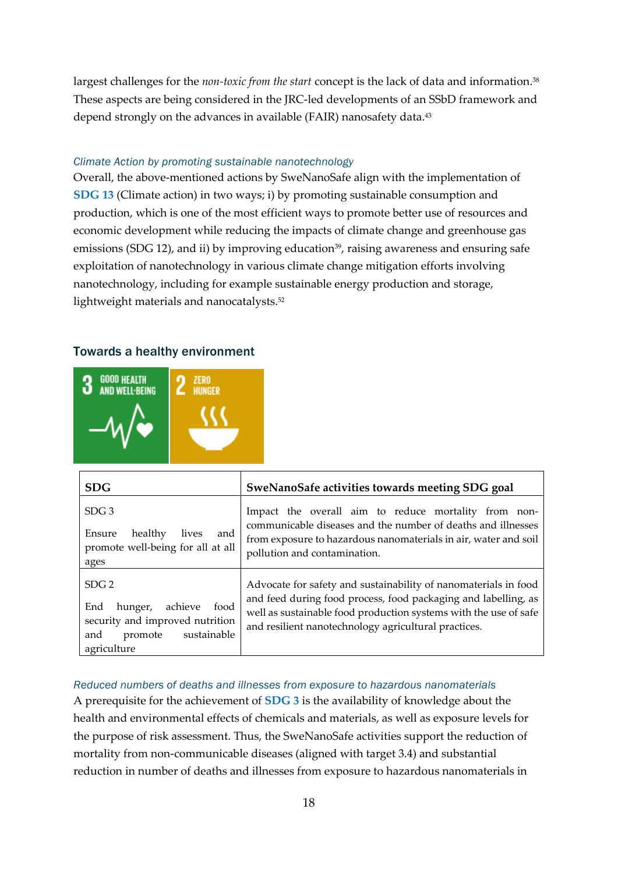largest challenges for the *non-toxic from the start* concept is the lack of data and information.<sup>38</sup> These aspects are being considered in the JRC-led developments of an SSbD framework and depend strongly on the advances in available (FAIR) nanosafety data.<sup>43</sup>

#### *Climate Action by promoting sustainable nanotechnology*

Overall, the above-mentioned actions by SweNanoSafe align with the implementation of **[SDG 13](https://sdgs.un.org/goals/goal13)** (Climate action) in two ways; i) by promoting sustainable consumption and production, which is one of the most efficient ways to promote better use of resources and economic development while reducing the impacts of climate change and greenhouse gas emissions (SDG 12), and ii) by improving education<sup>39</sup>, raising awareness and ensuring safe exploitation of nanotechnology in various climate change mitigation efforts involving nanotechnology, including for example sustainable energy production and storage, lightweight materials and nanocatalysts.<sup>52</sup>

#### <span id="page-18-0"></span>Towards a healthy environment



| <b>SDG</b>                                                                                                                               | SweNanoSafe activities towards meeting SDG goal                                                                                                                                                                                                               |
|------------------------------------------------------------------------------------------------------------------------------------------|---------------------------------------------------------------------------------------------------------------------------------------------------------------------------------------------------------------------------------------------------------------|
| SDG <sub>3</sub><br>and<br>healthy<br>Ensure<br>lives<br>promote well-being for all at all<br>ages                                       | Impact the overall aim to reduce mortality from non-<br>communicable diseases and the number of deaths and illnesses<br>from exposure to hazardous nanomaterials in air, water and soil<br>pollution and contamination.                                       |
| SDG <sub>2</sub><br>achieve<br>food<br>End<br>hunger,<br>security and improved nutrition<br>sustainable<br>and<br>promote<br>agriculture | Advocate for safety and sustainability of nanomaterials in food<br>and feed during food process, food packaging and labelling, as<br>well as sustainable food production systems with the use of safe<br>and resilient nanotechnology agricultural practices. |

#### *Reduced numbers of deaths and illnesses from exposure to hazardous nanomaterials*

A prerequisite for the achievement of **[SDG 3](https://sdgs.un.org/goals/goal3)** is the availability of knowledge about the health and environmental effects of chemicals and materials, as well as exposure levels for the purpose of risk assessment. Thus, the SweNanoSafe activities support the reduction of mortality from non-communicable diseases (aligned with target 3.4) and substantial reduction in number of deaths and illnesses from exposure to hazardous nanomaterials in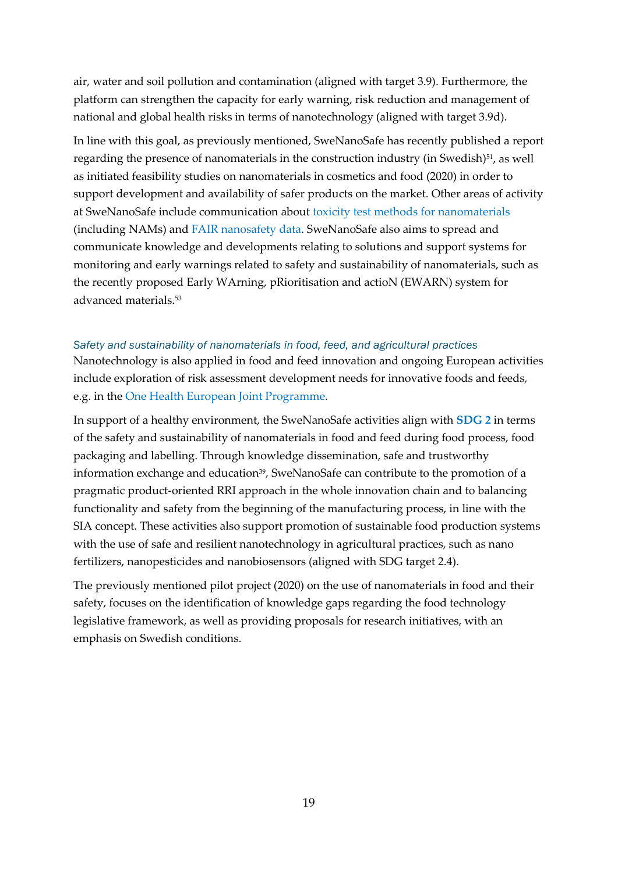air, water and soil pollution and contamination (aligned with target 3.9). Furthermore, the platform can strengthen the capacity for early warning, risk reduction and management of national and global health risks in terms of nanotechnology (aligned with target 3.9d).

In line with this goal, as previously mentioned, SweNanoSafe has recently published a report regarding the presence of nanomaterials in the construction industry (in Swedish)<sup>51</sup>, as well as initiated feasibility studies on nanomaterials in cosmetics and food (2020) in order to support development and availability of safer products on the market. Other areas of activity at SweNanoSafe include communication about [toxicity test methods for nanomaterials](https://swenanosafe.ki.se/start/testning-av-nanomaterial/testing-of-nanomaterials/) (including NAMs) and [FAIR nanosafety data.](https://swenanosafe.ki.se/start/data-for-nanosakerhet/nanosafety-data/) SweNanoSafe also aims to spread and communicate knowledge and developments relating to solutions and support systems for monitoring and early warnings related to safety and sustainability of nanomaterials, such as the recently proposed Early WArning, pRioritisation and actioN (EWARN) system for advanced materials.53

#### *Safety and sustainability of nanomaterials in food, feed, and agricultural practices*

Nanotechnology is also applied in food and feed innovation and ongoing European activities include exploration of risk assessment development needs for innovative foods and feeds, e.g. in the [One Health European Joint Programme.](https://onehealthejp.eu/)

In support of a healthy environment, the SweNanoSafe activities align with **[SDG 2](https://sdgs.un.org/goals/goal2)** in terms of the safety and sustainability of nanomaterials in food and feed during food process, food packaging and labelling. Through knowledge dissemination, safe and trustworthy information exchange and education<sup>39</sup>, SweNanoSafe can contribute to the promotion of a pragmatic product-oriented RRI approach in the whole innovation chain and to balancing functionality and safety from the beginning of the manufacturing process, in line with the SIA concept. These activities also support promotion of sustainable food production systems with the use of safe and resilient nanotechnology in agricultural practices, such as nano fertilizers, nanopesticides and nanobiosensors (aligned with SDG target 2.4).

The previously mentioned pilot project (2020) on the use of nanomaterials in food and their safety, focuses on the identification of knowledge gaps regarding the food technology legislative framework, as well as providing proposals for research initiatives, with an emphasis on Swedish conditions.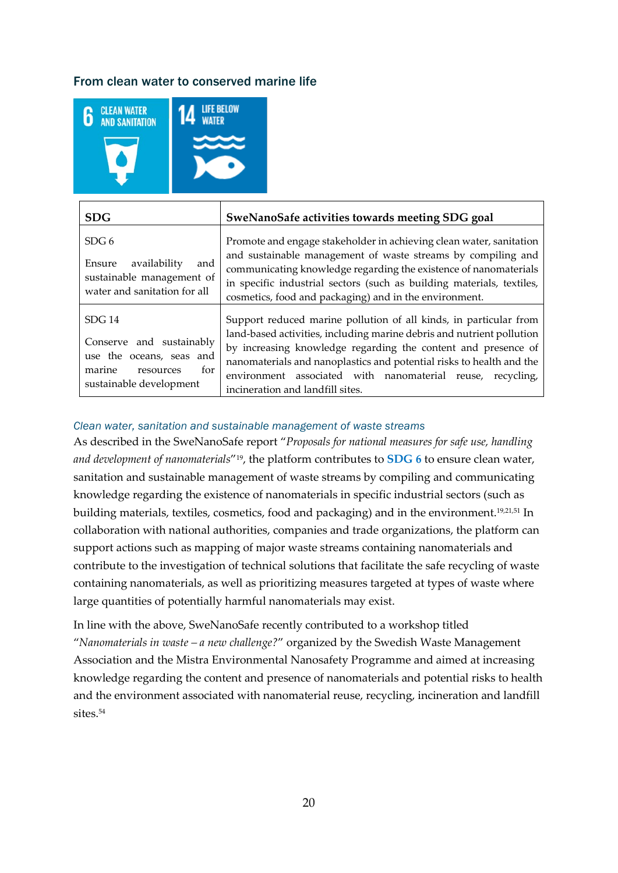#### <span id="page-20-0"></span>From clean water to conserved marine life



| <b>SDG</b>                                                                                                                         | SweNanoSafe activities towards meeting SDG goal                                                                                                                                                                                                                                                                                                                                       |
|------------------------------------------------------------------------------------------------------------------------------------|---------------------------------------------------------------------------------------------------------------------------------------------------------------------------------------------------------------------------------------------------------------------------------------------------------------------------------------------------------------------------------------|
| SDG <sub>6</sub><br>availability<br>Ensure<br>and<br>sustainable management of<br>water and sanitation for all                     | Promote and engage stakeholder in achieving clean water, sanitation<br>and sustainable management of waste streams by compiling and<br>communicating knowledge regarding the existence of nanomaterials<br>in specific industrial sectors (such as building materials, textiles,<br>cosmetics, food and packaging) and in the environment.                                            |
| SDG <sub>14</sub><br>Conserve and sustainably<br>use the oceans, seas and<br>for<br>marine<br>resources<br>sustainable development | Support reduced marine pollution of all kinds, in particular from<br>land-based activities, including marine debris and nutrient pollution<br>by increasing knowledge regarding the content and presence of<br>nanomaterials and nanoplastics and potential risks to health and the<br>environment associated with nanomaterial reuse, recycling,<br>incineration and landfill sites. |

#### *Clean water, sanitation and sustainable management of waste streams*

As described in the SweNanoSafe report "*Proposals for national measures for safe use, handling and development of nanomaterials*"19, the platform contributes to **[SDG 6](https://sdgs.un.org/goals/goal6)** to ensure clean water, sanitation and sustainable management of waste streams by compiling and communicating knowledge regarding the existence of nanomaterials in specific industrial sectors (such as building materials, textiles, cosmetics, food and packaging) and in the environment.19,21,51 In collaboration with national authorities, companies and trade organizations, the platform can support actions such as mapping of major waste streams containing nanomaterials and contribute to the investigation of technical solutions that facilitate the safe recycling of waste containing nanomaterials, as well as prioritizing measures targeted at types of waste where large quantities of potentially harmful nanomaterials may exist.

In line with the above, SweNanoSafe recently contributed to a workshop titled "*Nanomaterials in waste – a new challenge?*" organized by the Swedish Waste Management Association and the Mistra Environmental Nanosafety Programme and aimed at increasing knowledge regarding the content and presence of nanomaterials and potential risks to health and the environment associated with nanomaterial reuse, recycling, incineration and landfill sites.54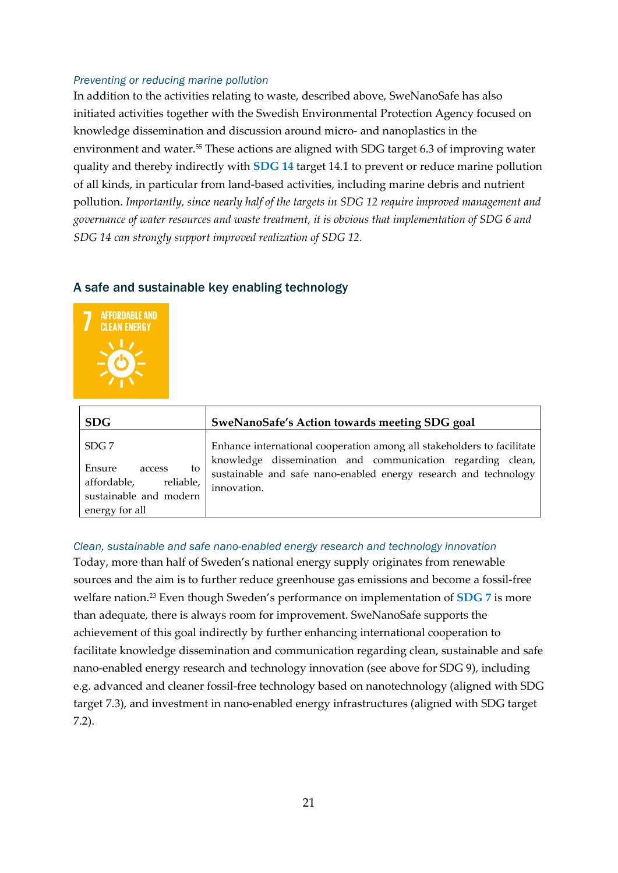#### *Preventing or reducing marine pollution*

In addition to the activities relating to waste, described above, SweNanoSafe has also initiated activities together with the Swedish Environmental Protection Agency focused on knowledge dissemination and discussion around micro- and nanoplastics in the environment and water.<sup>55</sup> These actions are aligned with SDG target 6.3 of improving water quality and thereby indirectly with **[SDG 14](https://sdgs.un.org/goals/goal14)** target 14.1 to prevent or reduce marine pollution of all kinds, in particular from land-based activities, including marine debris and nutrient pollution. *Importantly, since nearly half of the targets in SDG 12 require improved management and governance of water resources and waste treatment, it is obvious that implementation of SDG 6 and SDG 14 can strongly support improved realization of SDG 12.*

#### <span id="page-21-0"></span>A safe and sustainable key enabling technology



| <b>SDG</b>                                                                                     | SweNanoSafe's Action towards meeting SDG goal                                                                                                 |
|------------------------------------------------------------------------------------------------|-----------------------------------------------------------------------------------------------------------------------------------------------|
| SDG <sub>7</sub>                                                                               | Enhance international cooperation among all stakeholders to facilitate                                                                        |
| Ensure<br>to<br>access<br>affordable,<br>reliable,<br>sustainable and modern<br>energy for all | knowledge dissemination and communication regarding clean,<br>sustainable and safe nano-enabled energy research and technology<br>innovation. |

*Clean, sustainable and safe nano-enabled energy research and technology innovation* Today, more than half of Sweden's national energy supply originates from renewable sources and the aim is to further reduce greenhouse gas emissions and become a fossil-free welfare nation.23 Even though Sweden's performance on implementation of **[SDG 7](https://sdgs.un.org/goals/goal7)** is more than adequate, there is always room for improvement. SweNanoSafe supports the achievement of this goal indirectly by further enhancing international cooperation to facilitate knowledge dissemination and communication regarding clean, sustainable and safe nano-enabled energy research and technology innovation (see above for SDG 9), including e.g. advanced and cleaner fossil-free technology based on nanotechnology (aligned with SDG target 7.3), and investment in nano-enabled energy infrastructures (aligned with SDG target 7.2).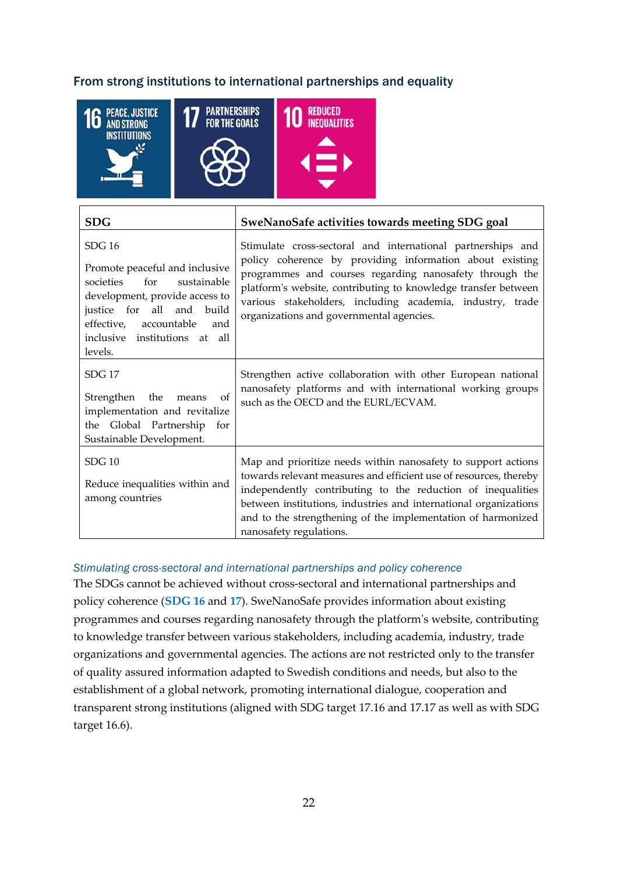#### <span id="page-22-0"></span>From strong institutions to international partnerships and equality



| <b>SDG</b>                                                                                                                                                                                                                | SweNanoSafe activities towards meeting SDG goal                                                                                                                                                                                                                                                                                                                  |
|---------------------------------------------------------------------------------------------------------------------------------------------------------------------------------------------------------------------------|------------------------------------------------------------------------------------------------------------------------------------------------------------------------------------------------------------------------------------------------------------------------------------------------------------------------------------------------------------------|
| SDG16<br>Promote peaceful and inclusive<br>societies<br>sustainable<br>for<br>development, provide access to<br>justice for all and<br>build<br>effective, accountable<br>and<br>inclusive institutions at all<br>levels. | Stimulate cross-sectoral and international partnerships and<br>policy coherence by providing information about existing<br>programmes and courses regarding nanosafety through the<br>platform's website, contributing to knowledge transfer between<br>various stakeholders, including academia, industry, trade<br>organizations and governmental agencies.    |
| <b>SDG 17</b><br>of<br>Strengthen the<br>means<br>implementation and revitalize<br>the Global Partnership for<br>Sustainable Development.                                                                                 | Strengthen active collaboration with other European national<br>nanosafety platforms and with international working groups<br>such as the OECD and the EURL/ECVAM.                                                                                                                                                                                               |
| SDG10<br>Reduce inequalities within and<br>among countries                                                                                                                                                                | Map and prioritize needs within nanosafety to support actions<br>towards relevant measures and efficient use of resources, thereby<br>independently contributing to the reduction of inequalities<br>between institutions, industries and international organizations<br>and to the strengthening of the implementation of harmonized<br>nanosafety regulations. |

#### *Stimulating cross-sectoral and international partnerships and policy coherence*

The SDGs cannot be achieved without cross-sectoral and international partnerships and policy coherence (**[SDG 16](https://sdgs.un.org/goals/goal16)** and **[17](https://sdgs.un.org/goals/goal17)**). SweNanoSafe provides information about existing programmes and courses regarding nanosafety through the platform's website, contributing to knowledge transfer between various stakeholders, including academia, industry, trade organizations and governmental agencies. The actions are not restricted only to the transfer of quality assured information adapted to Swedish conditions and needs, but also to the establishment of a global network, promoting international dialogue, cooperation and transparent strong institutions (aligned with SDG target 17.16 and 17.17 as well as with SDG target 16.6).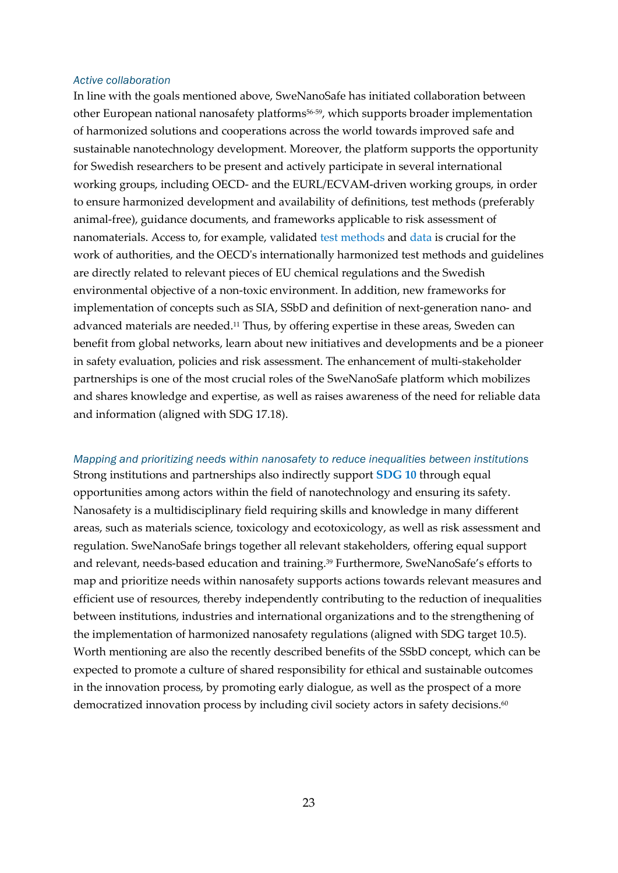#### *Active collaboration*

In line with the goals mentioned above, SweNanoSafe has initiated collaboration between other European national nanosafety platforms56-59, which supports broader implementation of harmonized solutions and cooperations across the world towards improved safe and sustainable nanotechnology development. Moreover, the platform supports the opportunity for Swedish researchers to be present and actively participate in several international working groups, including OECD- and the EURL/ECVAM-driven working groups, in order to ensure harmonized development and availability of definitions, test methods (preferably animal-free), guidance documents, and frameworks applicable to risk assessment of nanomaterials. Access to, for example, validated [test methods](https://swenanosafe.ki.se/start/testning-av-nanomaterial/testing-of-nanomaterials/) and [data](https://swenanosafe.ki.se/start/data-for-nanosakerhet/nanosafety-data/) is crucial for the work of authorities, and the OECD's internationally harmonized test methods and guidelines are directly related to relevant pieces of EU chemical regulations and the Swedish environmental objective of a non-toxic environment. In addition, new frameworks for implementation of concepts such as SIA, SSbD and definition of next-generation nano- and advanced materials are needed.11 Thus, by offering expertise in these areas, Sweden can benefit from global networks, learn about new initiatives and developments and be a pioneer in safety evaluation, policies and risk assessment. The enhancement of multi-stakeholder partnerships is one of the most crucial roles of the SweNanoSafe platform which mobilizes and shares knowledge and expertise, as well as raises awareness of the need for reliable data and information (aligned with SDG 17.18).

*Mapping and prioritizing needs within nanosafety to reduce inequalities between institutions* Strong institutions and partnerships also indirectly support **[SDG 10](https://sdgs.un.org/goals/goal10)** through equal opportunities among actors within the field of nanotechnology and ensuring its safety. Nanosafety is a multidisciplinary field requiring skills and knowledge in many different areas, such as materials science, toxicology and ecotoxicology, as well as risk assessment and regulation. SweNanoSafe brings together all relevant stakeholders, offering equal support and relevant, needs-based education and training.<sup>39</sup> Furthermore, SweNanoSafe's efforts to map and prioritize needs within nanosafety supports actions towards relevant measures and efficient use of resources, thereby independently contributing to the reduction of inequalities between institutions, industries and international organizations and to the strengthening of the implementation of harmonized nanosafety regulations (aligned with SDG target 10.5). Worth mentioning are also the recently described benefits of the SSbD concept, which can be expected to promote a culture of shared responsibility for ethical and sustainable outcomes in the innovation process, by promoting early dialogue, as well as the prospect of a more democratized innovation process by including civil society actors in safety decisions. 60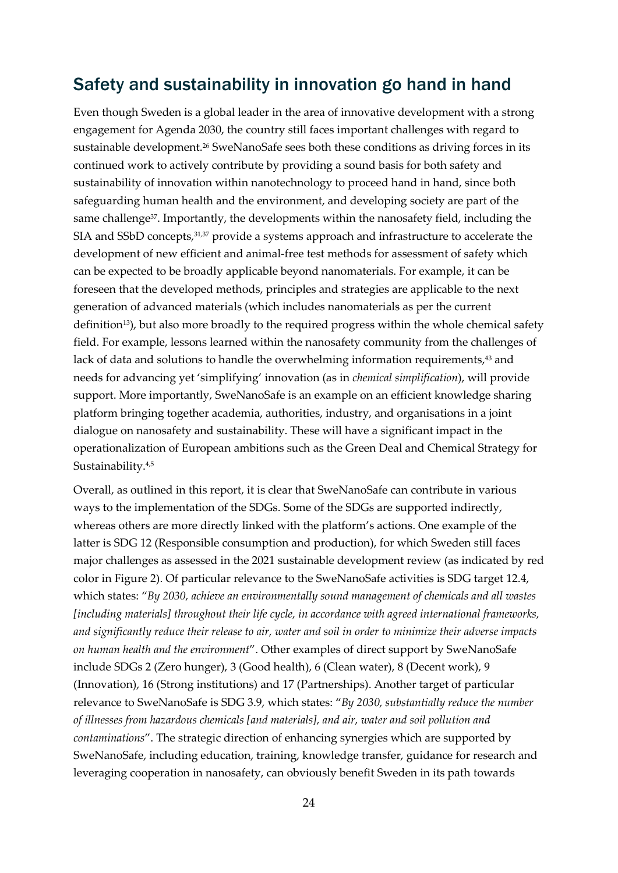## <span id="page-24-0"></span>Safety and sustainability in innovation go hand in hand

Even though Sweden is a global leader in the area of innovative development with a strong engagement for Agenda 2030, the country still faces important challenges with regard to sustainable development.<sup>26</sup> SweNanoSafe sees both these conditions as driving forces in its continued work to actively contribute by providing a sound basis for both safety and sustainability of innovation within nanotechnology to proceed hand in hand, since both safeguarding human health and the environment, and developing society are part of the same challenge<sup>37</sup>. Importantly, the developments within the nanosafety field, including the SIA and SSbD concepts, 31,37 provide a systems approach and infrastructure to accelerate the development of new efficient and animal-free test methods for assessment of safety which can be expected to be broadly applicable beyond nanomaterials. For example, it can be foreseen that the developed methods, principles and strategies are applicable to the next generation of advanced materials (which includes nanomaterials as per the current definition<sup>13</sup>), but also more broadly to the required progress within the whole chemical safety field. For example, lessons learned within the nanosafety community from the challenges of lack of data and solutions to handle the overwhelming information requirements,<sup>43</sup> and needs for advancing yet 'simplifying' innovation (as in *chemical simplification*), will provide support. More importantly, SweNanoSafe is an example on an efficient knowledge sharing platform bringing together academia, authorities, industry, and organisations in a joint dialogue on nanosafety and sustainability. These will have a significant impact in the operationalization of European ambitions such as the Green Deal and Chemical Strategy for Sustainability.<sup>4,5</sup>

Overall, as outlined in this report, it is clear that SweNanoSafe can contribute in various ways to the implementation of the SDGs. Some of the SDGs are supported indirectly, whereas others are more directly linked with the platform's actions. One example of the latter is SDG 12 (Responsible consumption and production), for which Sweden still faces major challenges as assessed in the 2021 sustainable development review (as indicated by red color in Figure 2). Of particular relevance to the SweNanoSafe activities is SDG target 12.4, which states: "*By 2030, achieve an environmentally sound management of chemicals and all wastes [including materials] throughout their life cycle, in accordance with agreed international frameworks, and significantly reduce their release to air, water and soil in order to minimize their adverse impacts on human health and the environment*". Other examples of direct support by SweNanoSafe include SDGs 2 (Zero hunger), 3 (Good health), 6 (Clean water), 8 (Decent work), 9 (Innovation), 16 (Strong institutions) and 17 (Partnerships). Another target of particular relevance to SweNanoSafe is SDG 3.9, which states: "*By 2030, substantially reduce the number of illnesses from hazardous chemicals [and materials], and air, water and soil pollution and contaminations*". The strategic direction of enhancing synergies which are supported by SweNanoSafe, including education, training, knowledge transfer, guidance for research and leveraging cooperation in nanosafety, can obviously benefit Sweden in its path towards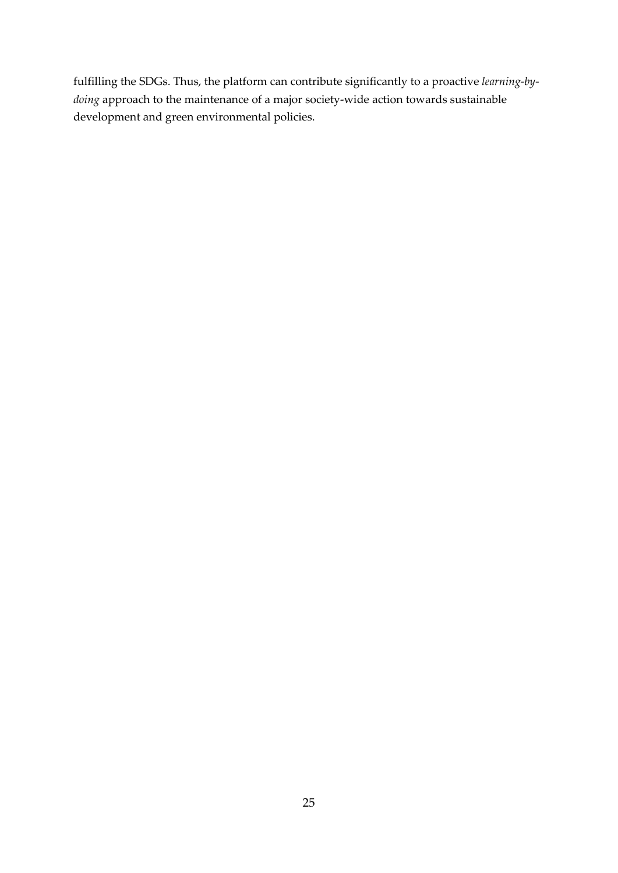fulfilling the SDGs. Thus, the platform can contribute significantly to a proactive *learning-bydoing* approach to the maintenance of a major society-wide action towards sustainable development and green environmental policies.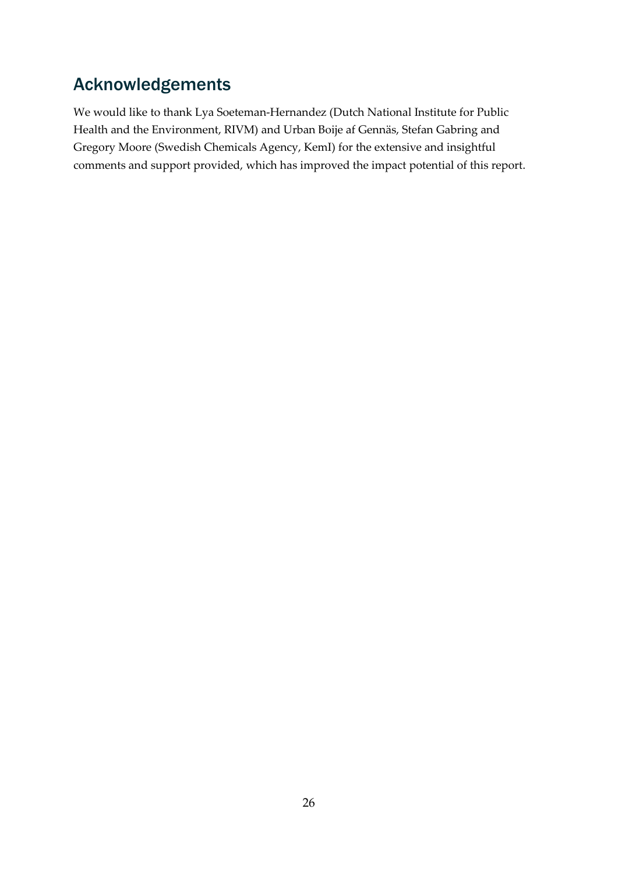## <span id="page-26-0"></span>Acknowledgements

We would like to thank Lya Soeteman-Hernandez (Dutch National Institute for Public Health and the Environment, RIVM) and Urban Boije af Gennäs, Stefan Gabring and Gregory Moore (Swedish Chemicals Agency, KemI) for the extensive and insightful comments and support provided, which has improved the impact potential of this report.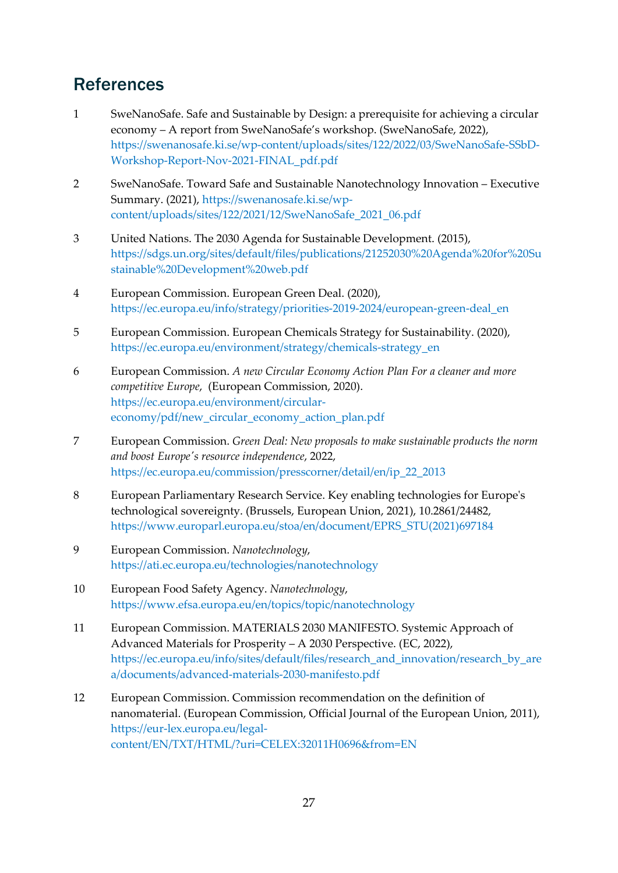## <span id="page-27-0"></span>**References**

- 1 SweNanoSafe. Safe and Sustainable by Design: a prerequisite for achieving a circular economy – A report from SweNanoSafe's workshop. (SweNanoSafe, 2022), [https://swenanosafe.ki.se/wp-content/uploads/sites/122/2022/03/SweNanoSafe-SSbD-](https://swenanosafe.ki.se/wp-content/uploads/sites/122/2022/03/SweNanoSafe-SSbD-Workshop-Report-Nov-2021-FINAL_pdf.pdf)[Workshop-Report-Nov-2021-FINAL\\_pdf.pdf](https://swenanosafe.ki.se/wp-content/uploads/sites/122/2022/03/SweNanoSafe-SSbD-Workshop-Report-Nov-2021-FINAL_pdf.pdf)
- 2 SweNanoSafe. Toward Safe and Sustainable Nanotechnology Innovation Executive Summary. (2021), [https://swenanosafe.ki.se/wp](https://swenanosafe.ki.se/wp-content/uploads/sites/122/2021/12/SweNanoSafe_2021_06.pdf)[content/uploads/sites/122/2021/12/SweNanoSafe\\_2021\\_06.pdf](https://swenanosafe.ki.se/wp-content/uploads/sites/122/2021/12/SweNanoSafe_2021_06.pdf)
- 3 United Nations. The 2030 Agenda for Sustainable Development. (2015), [https://sdgs.un.org/sites/default/files/publications/21252030%20Agenda%20for%20Su](https://sdgs.un.org/sites/default/files/publications/21252030%20Agenda%20for%20Sustainable%20Development%20web.pdf) [stainable%20Development%20web.pdf](https://sdgs.un.org/sites/default/files/publications/21252030%20Agenda%20for%20Sustainable%20Development%20web.pdf)
- 4 European Commission. European Green Deal. (2020), [https://ec.europa.eu/info/strategy/priorities-2019-2024/european-green-deal\\_en](https://ec.europa.eu/info/strategy/priorities-2019-2024/european-green-deal_en)
- 5 European Commission. European Chemicals Strategy for Sustainability. (2020), [https://ec.europa.eu/environment/strategy/chemicals-strategy\\_en](https://ec.europa.eu/environment/strategy/chemicals-strategy_en)
- 6 European Commission. *A new Circular Economy Action Plan For a cleaner and more competitive Europe*, (European Commission, 2020). [https://ec.europa.eu/environment/circular](https://ec.europa.eu/environment/circular-economy/pdf/new_circular_economy_action_plan.pdf)[economy/pdf/new\\_circular\\_economy\\_action\\_plan.pdf](https://ec.europa.eu/environment/circular-economy/pdf/new_circular_economy_action_plan.pdf)
- 7 European Commission. *Green Deal: New proposals to make sustainable products the norm and boost Europe's resource independence*, 2022, [https://ec.europa.eu/commission/presscorner/detail/en/ip\\_22\\_2013](https://ec.europa.eu/commission/presscorner/detail/en/ip_22_2013)
- 8 European Parliamentary Research Service. Key enabling technologies for Europe's technological sovereignty. (Brussels, European Union, 2021), 10.2861/24482, [https://www.europarl.europa.eu/stoa/en/document/EPRS\\_STU\(2021\)697184](https://www.europarl.europa.eu/stoa/en/document/EPRS_STU(2021)697184)
- 9 European Commission. *Nanotechnology*, <https://ati.ec.europa.eu/technologies/nanotechnology>
- 10 European Food Safety Agency. *Nanotechnology*, <https://www.efsa.europa.eu/en/topics/topic/nanotechnology>
- 11 European Commission. MATERIALS 2030 MANIFESTO. Systemic Approach of Advanced Materials for Prosperity – A 2030 Perspective. (EC, 2022), [https://ec.europa.eu/info/sites/default/files/research\\_and\\_innovation/research\\_by\\_are](https://ec.europa.eu/info/sites/default/files/research_and_innovation/research_by_area/documents/advanced-materials-2030-manifesto.pdf) [a/documents/advanced-materials-2030-manifesto.pdf](https://ec.europa.eu/info/sites/default/files/research_and_innovation/research_by_area/documents/advanced-materials-2030-manifesto.pdf)
- 12 European Commission. Commission recommendation on the definition of nanomaterial. (European Commission, Official Journal of the European Union, 2011), [https://eur-lex.europa.eu/legal](https://eur-lex.europa.eu/legal-content/EN/TXT/HTML/?uri=CELEX:32011H0696&from=EN)[content/EN/TXT/HTML/?uri=CELEX:32011H0696&from=EN](https://eur-lex.europa.eu/legal-content/EN/TXT/HTML/?uri=CELEX:32011H0696&from=EN)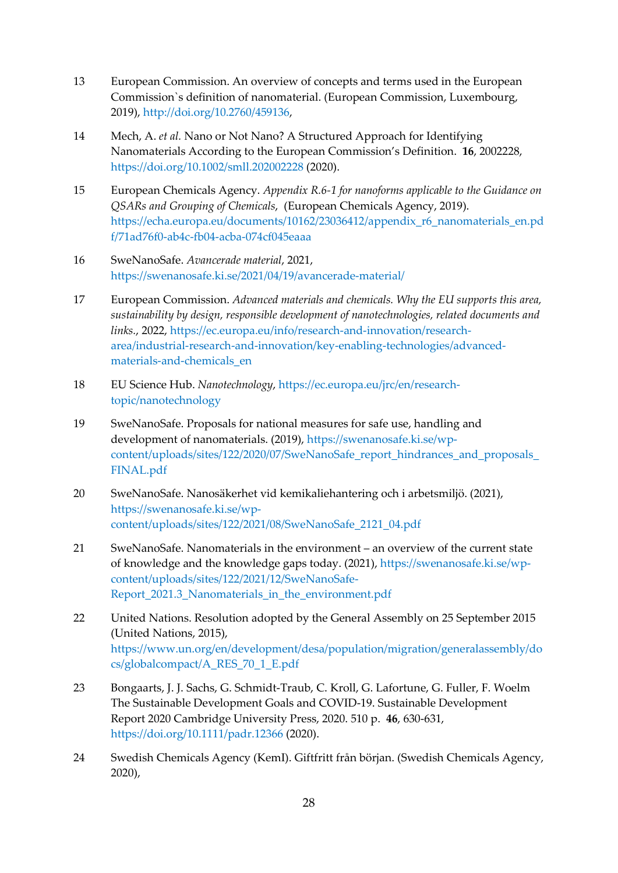- 13 European Commission. An overview of concepts and terms used in the European Commission`s definition of nanomaterial. (European Commission, Luxembourg, 2019), [http://doi.org/10.2760/459136,](http://doi.org/10.2760/459136)
- 14 Mech, A. *et al.* Nano or Not Nano? A Structured Approach for Identifying Nanomaterials According to the European Commission's Definition. **16**, 2002228, <https://doi.org/10.1002/smll.202002228> (2020).
- 15 European Chemicals Agency. *Appendix R.6-1 for nanoforms applicable to the Guidance on QSARs and Grouping of Chemicals*, (European Chemicals Agency, 2019). [https://echa.europa.eu/documents/10162/23036412/appendix\\_r6\\_nanomaterials\\_en.pd](https://echa.europa.eu/documents/10162/23036412/appendix_r6_nanomaterials_en.pdf/71ad76f0-ab4c-fb04-acba-074cf045eaaa) [f/71ad76f0-ab4c-fb04-acba-074cf045eaaa](https://echa.europa.eu/documents/10162/23036412/appendix_r6_nanomaterials_en.pdf/71ad76f0-ab4c-fb04-acba-074cf045eaaa)
- 16 SweNanoSafe. *Avancerade material*, 2021, <https://swenanosafe.ki.se/2021/04/19/avancerade-material/>
- 17 European Commission. *Advanced materials and chemicals. Why the EU supports this area, sustainability by design, responsible development of nanotechnologies, related documents and links.*, 2022, [https://ec.europa.eu/info/research-and-innovation/research](https://ec.europa.eu/info/research-and-innovation/research-area/industrial-research-and-innovation/key-enabling-technologies/advanced-materials-and-chemicals_en)[area/industrial-research-and-innovation/key-enabling-technologies/advanced](https://ec.europa.eu/info/research-and-innovation/research-area/industrial-research-and-innovation/key-enabling-technologies/advanced-materials-and-chemicals_en)[materials-and-chemicals\\_en](https://ec.europa.eu/info/research-and-innovation/research-area/industrial-research-and-innovation/key-enabling-technologies/advanced-materials-and-chemicals_en)
- 18 EU Science Hub. *Nanotechnology*, [https://ec.europa.eu/jrc/en/research](https://ec.europa.eu/jrc/en/research-topic/nanotechnology)[topic/nanotechnology](https://ec.europa.eu/jrc/en/research-topic/nanotechnology)
- 19 SweNanoSafe. Proposals for national measures for safe use, handling and development of nanomaterials. (2019), [https://swenanosafe.ki.se/wp](https://swenanosafe.ki.se/wp-content/uploads/sites/122/2020/07/SweNanoSafe_report_hindrances_and_proposals_FINAL.pdf)[content/uploads/sites/122/2020/07/SweNanoSafe\\_report\\_hindrances\\_and\\_proposals\\_](https://swenanosafe.ki.se/wp-content/uploads/sites/122/2020/07/SweNanoSafe_report_hindrances_and_proposals_FINAL.pdf) [FINAL.pdf](https://swenanosafe.ki.se/wp-content/uploads/sites/122/2020/07/SweNanoSafe_report_hindrances_and_proposals_FINAL.pdf)
- 20 SweNanoSafe. Nanosäkerhet vid kemikaliehantering och i arbetsmiljö. (2021), [https://swenanosafe.ki.se/wp](https://swenanosafe.ki.se/wp-content/uploads/sites/122/2021/08/SweNanoSafe_2121_04.pdf)[content/uploads/sites/122/2021/08/SweNanoSafe\\_2121\\_04.pdf](https://swenanosafe.ki.se/wp-content/uploads/sites/122/2021/08/SweNanoSafe_2121_04.pdf)
- 21 SweNanoSafe. Nanomaterials in the environment an overview of the current state of knowledge and the knowledge gaps today. (2021), [https://swenanosafe.ki.se/wp](https://swenanosafe.ki.se/wp-content/uploads/sites/122/2021/12/SweNanoSafe-Report_2021.3_Nanomaterials_in_the_environment.pdf)[content/uploads/sites/122/2021/12/SweNanoSafe-](https://swenanosafe.ki.se/wp-content/uploads/sites/122/2021/12/SweNanoSafe-Report_2021.3_Nanomaterials_in_the_environment.pdf)Report 2021.3\_Nanomaterials\_in\_the\_environment.pdf
- 22 United Nations. Resolution adopted by the General Assembly on 25 September 2015 (United Nations, 2015), [https://www.un.org/en/development/desa/population/migration/generalassembly/do](https://www.un.org/en/development/desa/population/migration/generalassembly/docs/globalcompact/A_RES_70_1_E.pdf) [cs/globalcompact/A\\_RES\\_70\\_1\\_E.pdf](https://www.un.org/en/development/desa/population/migration/generalassembly/docs/globalcompact/A_RES_70_1_E.pdf)
- 23 Bongaarts, J. J. Sachs, G. Schmidt-Traub, C. Kroll, G. Lafortune, G. Fuller, F. Woelm The Sustainable Development Goals and COVID-19. Sustainable Development Report 2020 Cambridge University Press, 2020. 510 p. **46**, 630-631, <https://doi.org/10.1111/padr.12366> (2020).
- 24 Swedish Chemicals Agency (KemI). Giftfritt från början. (Swedish Chemicals Agency, 2020),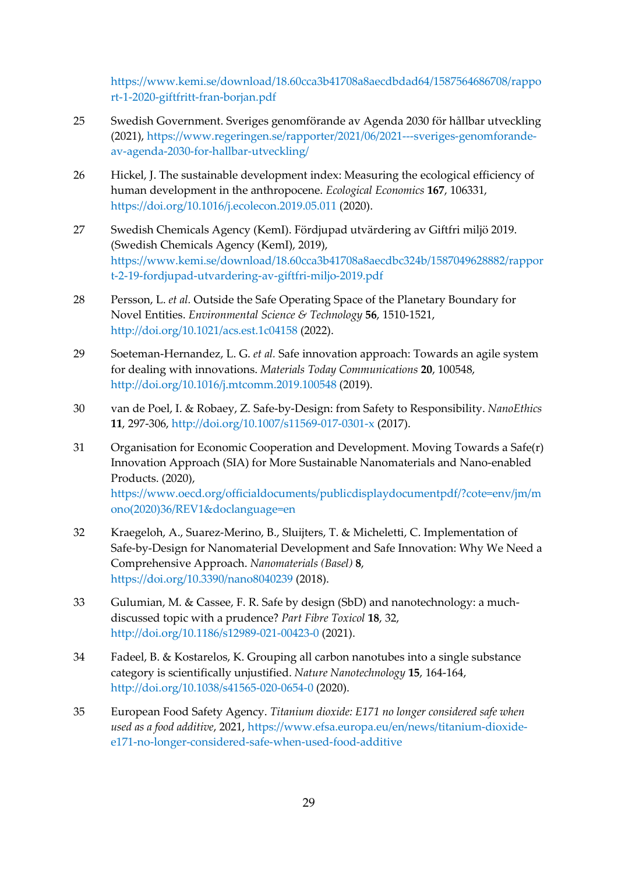[https://www.kemi.se/download/18.60cca3b41708a8aecdbdad64/1587564686708/rappo](https://www.kemi.se/download/18.60cca3b41708a8aecdbdad64/1587564686708/rapport-1-2020-giftfritt-fran-borjan.pdf) [rt-1-2020-giftfritt-fran-borjan.pdf](https://www.kemi.se/download/18.60cca3b41708a8aecdbdad64/1587564686708/rapport-1-2020-giftfritt-fran-borjan.pdf)

- 25 Swedish Government. Sveriges genomförande av Agenda 2030 för hållbar utveckling (2021), [https://www.regeringen.se/rapporter/2021/06/2021---sveriges-genomforande](https://www.regeringen.se/rapporter/2021/06/2021---sveriges-genomforande-av-agenda-2030-for-hallbar-utveckling/)[av-agenda-2030-for-hallbar-utveckling/](https://www.regeringen.se/rapporter/2021/06/2021---sveriges-genomforande-av-agenda-2030-for-hallbar-utveckling/)
- 26 Hickel, J. The sustainable development index: Measuring the ecological efficiency of human development in the anthropocene. *Ecological Economics* **167**, 106331, <https://doi.org/10.1016/j.ecolecon.2019.05.011> (2020).
- 27 Swedish Chemicals Agency (KemI). Fördjupad utvärdering av Giftfri miljö 2019. (Swedish Chemicals Agency (KemI), 2019), [https://www.kemi.se/download/18.60cca3b41708a8aecdbc324b/1587049628882/rappor](https://www.kemi.se/download/18.60cca3b41708a8aecdbc324b/1587049628882/rapport-2-19-fordjupad-utvardering-av-giftfri-miljo-2019.pdf) [t-2-19-fordjupad-utvardering-av-giftfri-miljo-2019.pdf](https://www.kemi.se/download/18.60cca3b41708a8aecdbc324b/1587049628882/rapport-2-19-fordjupad-utvardering-av-giftfri-miljo-2019.pdf)
- 28 Persson, L. *et al.* Outside the Safe Operating Space of the Planetary Boundary for Novel Entities. *Environmental Science & Technology* **56**, 1510-1521, <http://doi.org/10.1021/acs.est.1c04158> (2022).
- 29 Soeteman-Hernandez, L. G. *et al.* Safe innovation approach: Towards an agile system for dealing with innovations. *Materials Today Communications* **20**, 100548, <http://doi.org/10.1016/j.mtcomm.2019.100548> (2019).
- 30 van de Poel, I. & Robaey, Z. Safe-by-Design: from Safety to Responsibility. *NanoEthics* **11**, 297-306,<http://doi.org/10.1007/s11569-017-0301-x> (2017).
- 31 Organisation for Economic Cooperation and Development. Moving Towards a Safe(r) Innovation Approach (SIA) for More Sustainable Nanomaterials and Nano-enabled Products. (2020),

[https://www.oecd.org/officialdocuments/publicdisplaydocumentpdf/?cote=env/jm/m](https://www.oecd.org/officialdocuments/publicdisplaydocumentpdf/?cote=env/jm/mono(2020)36/REV1&doclanguage=en) [ono\(2020\)36/REV1&doclanguage=en](https://www.oecd.org/officialdocuments/publicdisplaydocumentpdf/?cote=env/jm/mono(2020)36/REV1&doclanguage=en)

- 32 Kraegeloh, A., Suarez-Merino, B., Sluijters, T. & Micheletti, C. Implementation of Safe-by-Design for Nanomaterial Development and Safe Innovation: Why We Need a Comprehensive Approach. *Nanomaterials (Basel)* **8**, <https://doi.org/10.3390/nano8040239> (2018).
- 33 Gulumian, M. & Cassee, F. R. Safe by design (SbD) and nanotechnology: a muchdiscussed topic with a prudence? *Part Fibre Toxicol* **18**, 32, <http://doi.org/10.1186/s12989-021-00423-0> (2021).
- 34 Fadeel, B. & Kostarelos, K. Grouping all carbon nanotubes into a single substance category is scientifically unjustified. *Nature Nanotechnology* **15**, 164-164, <http://doi.org/10.1038/s41565-020-0654-0> (2020).
- 35 European Food Safety Agency. *Titanium dioxide: E171 no longer considered safe when used as a food additive*, 2021, [https://www.efsa.europa.eu/en/news/titanium-dioxide](https://www.efsa.europa.eu/en/news/titanium-dioxide-e171-no-longer-considered-safe-when-used-food-additive)[e171-no-longer-considered-safe-when-used-food-additive](https://www.efsa.europa.eu/en/news/titanium-dioxide-e171-no-longer-considered-safe-when-used-food-additive)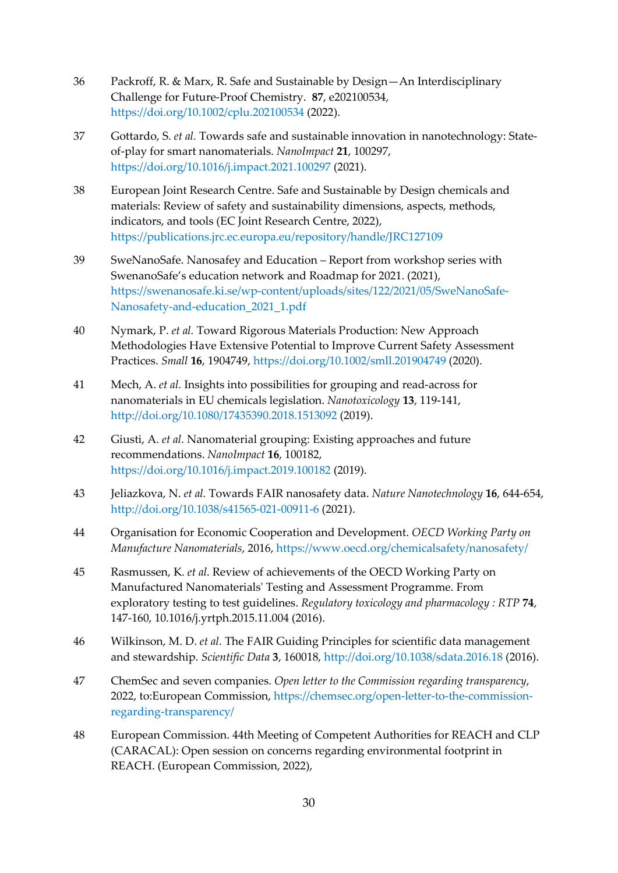- 36 Packroff, R. & Marx, R. Safe and Sustainable by Design—An Interdisciplinary Challenge for Future-Proof Chemistry. **87**, e202100534, <https://doi.org/10.1002/cplu.202100534> (2022).
- 37 Gottardo, S. *et al.* Towards safe and sustainable innovation in nanotechnology: Stateof-play for smart nanomaterials. *NanoImpact* **21**, 100297, <https://doi.org/10.1016/j.impact.2021.100297> (2021).
- 38 European Joint Research Centre. Safe and Sustainable by Design chemicals and materials: Review of safety and sustainability dimensions, aspects, methods, indicators, and tools (EC Joint Research Centre, 2022), <https://publications.jrc.ec.europa.eu/repository/handle/JRC127109>
- 39 SweNanoSafe. Nanosafey and Education Report from workshop series with SwenanoSafe's education network and Roadmap for 2021. (2021), [https://swenanosafe.ki.se/wp-content/uploads/sites/122/2021/05/SweNanoSafe-](https://swenanosafe.ki.se/wp-content/uploads/sites/122/2021/05/SweNanoSafe-Nanosafety-and-education_2021_1.pdf)[Nanosafety-and-education\\_2021\\_1.pdf](https://swenanosafe.ki.se/wp-content/uploads/sites/122/2021/05/SweNanoSafe-Nanosafety-and-education_2021_1.pdf)
- 40 Nymark, P. *et al.* Toward Rigorous Materials Production: New Approach Methodologies Have Extensive Potential to Improve Current Safety Assessment Practices. *Small* **16**, 1904749,<https://doi.org/10.1002/smll.201904749> (2020).
- 41 Mech, A. *et al.* Insights into possibilities for grouping and read-across for nanomaterials in EU chemicals legislation. *Nanotoxicology* **13**, 119-141, <http://doi.org/10.1080/17435390.2018.1513092> (2019).
- 42 Giusti, A. *et al.* Nanomaterial grouping: Existing approaches and future recommendations. *NanoImpact* **16**, 100182, <https://doi.org/10.1016/j.impact.2019.100182> (2019).
- 43 Jeliazkova, N. *et al.* Towards FAIR nanosafety data. *Nature Nanotechnology* **16**, 644-654, <http://doi.org/10.1038/s41565-021-00911-6> (2021).
- 44 Organisation for Economic Cooperation and Development. *OECD Working Party on Manufacture Nanomaterials*, 2016,<https://www.oecd.org/chemicalsafety/nanosafety/>
- 45 Rasmussen, K. *et al.* Review of achievements of the OECD Working Party on Manufactured Nanomaterials' Testing and Assessment Programme. From exploratory testing to test guidelines. *Regulatory toxicology and pharmacology : RTP* **74**, 147-160, 10.1016/j.yrtph.2015.11.004 (2016).
- 46 Wilkinson, M. D. *et al.* The FAIR Guiding Principles for scientific data management and stewardship. *Scientific Data* **3**, 160018,<http://doi.org/10.1038/sdata.2016.18> (2016).
- 47 ChemSec and seven companies. *Open letter to the Commission regarding transparency*, 2022, to:European Commission, [https://chemsec.org/open-letter-to-the-commission](https://chemsec.org/open-letter-to-the-commission-regarding-transparency/)[regarding-transparency/](https://chemsec.org/open-letter-to-the-commission-regarding-transparency/)
- 48 European Commission. 44th Meeting of Competent Authorities for REACH and CLP (CARACAL): Open session on concerns regarding environmental footprint in REACH. (European Commission, 2022),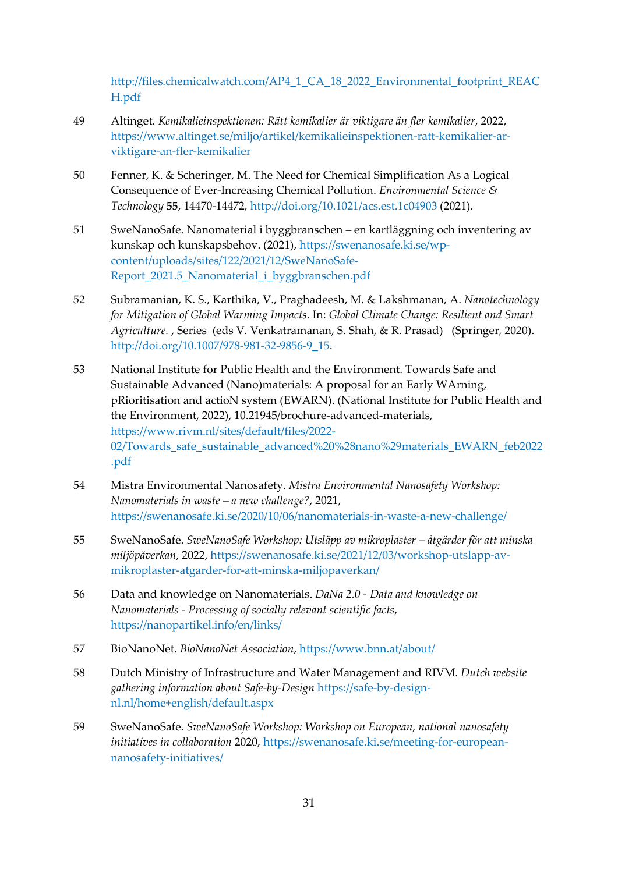[http://files.chemicalwatch.com/AP4\\_1\\_CA\\_18\\_2022\\_Environmental\\_footprint\\_REAC](http://files.chemicalwatch.com/AP4_1_CA_18_2022_Environmental_footprint_REACH.pdf) [H.pdf](http://files.chemicalwatch.com/AP4_1_CA_18_2022_Environmental_footprint_REACH.pdf)

- 49 Altinget. *Kemikalieinspektionen: Rätt kemikalier är viktigare än fler kemikalier*, 2022, [https://www.altinget.se/miljo/artikel/kemikalieinspektionen-ratt-kemikalier-ar](https://www.altinget.se/miljo/artikel/kemikalieinspektionen-ratt-kemikalier-ar-viktigare-an-fler-kemikalier)[viktigare-an-fler-kemikalier](https://www.altinget.se/miljo/artikel/kemikalieinspektionen-ratt-kemikalier-ar-viktigare-an-fler-kemikalier)
- 50 Fenner, K. & Scheringer, M. The Need for Chemical Simplification As a Logical Consequence of Ever-Increasing Chemical Pollution. *Environmental Science & Technology* **55**, 14470-14472,<http://doi.org/10.1021/acs.est.1c04903> (2021).
- 51 SweNanoSafe. Nanomaterial i byggbranschen en kartläggning och inventering av kunskap och kunskapsbehov. (2021), [https://swenanosafe.ki.se/wp](https://swenanosafe.ki.se/wp-content/uploads/sites/122/2021/12/SweNanoSafe-Report_2021.5_Nanomaterial_i_byggbranschen.pdf)[content/uploads/sites/122/2021/12/SweNanoSafe-](https://swenanosafe.ki.se/wp-content/uploads/sites/122/2021/12/SweNanoSafe-Report_2021.5_Nanomaterial_i_byggbranschen.pdf)[Report\\_2021.5\\_Nanomaterial\\_i\\_byggbranschen.pdf](https://swenanosafe.ki.se/wp-content/uploads/sites/122/2021/12/SweNanoSafe-Report_2021.5_Nanomaterial_i_byggbranschen.pdf)
- 52 Subramanian, K. S., Karthika, V., Praghadeesh, M. & Lakshmanan, A. *Nanotechnology for Mitigation of Global Warming Impacts.* In: *Global Climate Change: Resilient and Smart Agriculture.* , Series (eds V. Venkatramanan, S. Shah, & R. Prasad) (Springer, 2020). [http://doi.org/10.1007/978-981-32-9856-9\\_15.](http://doi.org/10.1007/978-981-32-9856-9_15)
- 53 National Institute for Public Health and the Environment. Towards Safe and Sustainable Advanced (Nano)materials: A proposal for an Early WArning, pRioritisation and actioN system (EWARN). (National Institute for Public Health and the Environment, 2022), 10.21945/brochure-advanced-materials, [https://www.rivm.nl/sites/default/files/2022-](https://www.rivm.nl/sites/default/files/2022-02/Towards_safe_sustainable_advanced%20%28nano%29materials_EWARN_feb2022.pdf) [02/Towards\\_safe\\_sustainable\\_advanced%20%28nano%29materials\\_EWARN\\_feb2022](https://www.rivm.nl/sites/default/files/2022-02/Towards_safe_sustainable_advanced%20%28nano%29materials_EWARN_feb2022.pdf) [.pdf](https://www.rivm.nl/sites/default/files/2022-02/Towards_safe_sustainable_advanced%20%28nano%29materials_EWARN_feb2022.pdf)
- 54 Mistra Environmental Nanosafety. *Mistra Environmental Nanosafety Workshop: Nanomaterials in waste – a new challenge?*, 2021, <https://swenanosafe.ki.se/2020/10/06/nanomaterials-in-waste-a-new-challenge/>
- 55 SweNanoSafe. *SweNanoSafe Workshop: Utsläpp av mikroplaster – åtgärder för att minska miljöpåverkan*, 2022, [https://swenanosafe.ki.se/2021/12/03/workshop-utslapp-av](https://swenanosafe.ki.se/2021/12/03/workshop-utslapp-av-mikroplaster-atgarder-for-att-minska-miljopaverkan/)[mikroplaster-atgarder-for-att-minska-miljopaverkan/](https://swenanosafe.ki.se/2021/12/03/workshop-utslapp-av-mikroplaster-atgarder-for-att-minska-miljopaverkan/)
- 56 Data and knowledge on Nanomaterials. *DaNa 2.0 - Data and knowledge on Nanomaterials - Processing of socially relevant scientific facts*, <https://nanopartikel.info/en/links/>
- 57 BioNanoNet. *BioNanoNet Association*,<https://www.bnn.at/about/>
- 58 Dutch Ministry of Infrastructure and Water Management and RIVM. *Dutch website gathering information about Safe-by-Design* [https://safe-by-design](https://safe-by-design-nl.nl/home+english/default.aspx)[nl.nl/home+english/default.aspx](https://safe-by-design-nl.nl/home+english/default.aspx)
- 59 SweNanoSafe. *SweNanoSafe Workshop: Workshop on European, national nanosafety initiatives in collaboration* 2020, [https://swenanosafe.ki.se/meeting-for-european](https://swenanosafe.ki.se/meeting-for-european-nanosafety-initiatives/)[nanosafety-initiatives/](https://swenanosafe.ki.se/meeting-for-european-nanosafety-initiatives/)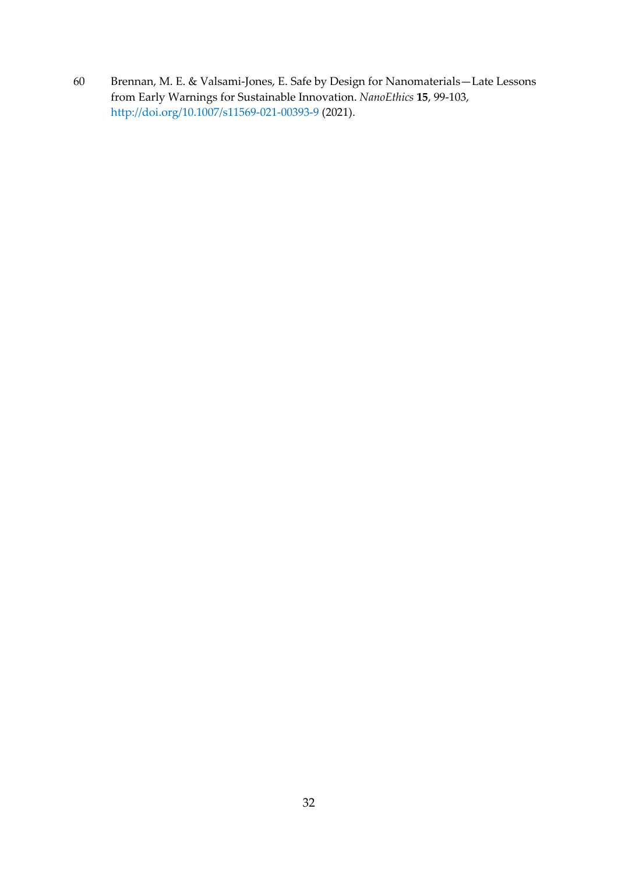60 Brennan, M. E. & Valsami-Jones, E. Safe by Design for Nanomaterials—Late Lessons from Early Warnings for Sustainable Innovation. *NanoEthics* **15**, 99-103, <http://doi.org/10.1007/s11569-021-00393-9> (2021).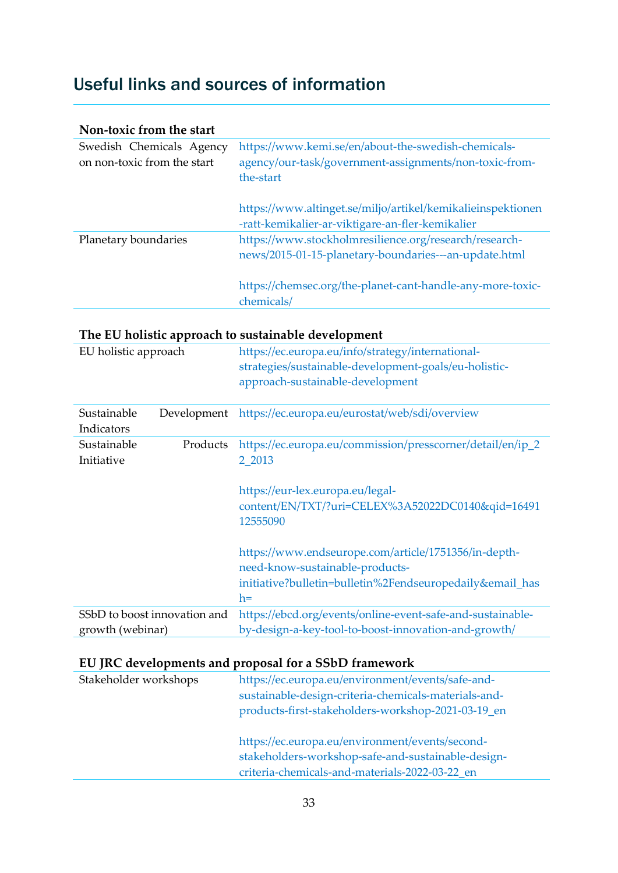## <span id="page-33-0"></span>Useful links and sources of information

| Non-toxic from the start                                |                                                                                                                            |
|---------------------------------------------------------|----------------------------------------------------------------------------------------------------------------------------|
| Swedish Chemicals Agency<br>on non-toxic from the start | https://www.kemi.se/en/about-the-swedish-chemicals-<br>agency/our-task/government-assignments/non-toxic-from-<br>the-start |
|                                                         | https://www.altinget.se/miljo/artikel/kemikalieinspektionen<br>-ratt-kemikalier-ar-viktigare-an-fler-kemikalier            |
| Planetary boundaries                                    | https://www.stockholmresilience.org/research/research-<br>news/2015-01-15-planetary-boundaries---an-update.html            |
|                                                         | https://chemsec.org/the-planet-cant-handle-any-more-toxic-<br>chemicals/                                                   |

| The EU holistic approach to sustainable development |                              |                                                                                                                                                                         |
|-----------------------------------------------------|------------------------------|-------------------------------------------------------------------------------------------------------------------------------------------------------------------------|
| EU holistic approach                                |                              | https://ec.europa.eu/info/strategy/international-<br>strategies/sustainable-development-goals/eu-holistic-<br>approach-sustainable-development                          |
| Sustainable<br>Indicators                           | Development                  | https://ec.europa.eu/eurostat/web/sdi/overview                                                                                                                          |
| Sustainable<br>Initiative                           | Products                     | https://ec.europa.eu/commission/presscorner/detail/en/ip_2<br>2 2013<br>https://eur-lex.europa.eu/legal-<br>content/EN/TXT/?uri=CELEX%3A52022DC0140&qid=16491           |
|                                                     |                              | 12555090<br>https://www.endseurope.com/article/1751356/in-depth-<br>need-know-sustainable-products-<br>initiative?bulletin=bulletin%2Fendseuropedaily&email_has<br>$h=$ |
|                                                     | SSbD to boost innovation and | https://ebcd.org/events/online-event-safe-and-sustainable-                                                                                                              |

#### **EU JRC developments and proposal for a SSbD framework**

| Stakeholder workshops | https://ec.europa.eu/environment/events/safe-and-<br>sustainable-design-criteria-chemicals-materials-and-<br>products-first-stakeholders-workshop-2021-03-19_en |
|-----------------------|-----------------------------------------------------------------------------------------------------------------------------------------------------------------|
|                       | https://ec.europa.eu/environment/events/second-<br>stakeholders-workshop-safe-and-sustainable-design-<br>criteria-chemicals-and-materials-2022-03-22_en         |

growth (webinar) [by-design-a-key-tool-to-boost-innovation-and-growth/](https://ebcd.org/events/online-event-safe-and-sustainable-by-design-a-key-tool-to-boost-innovation-and-growth/)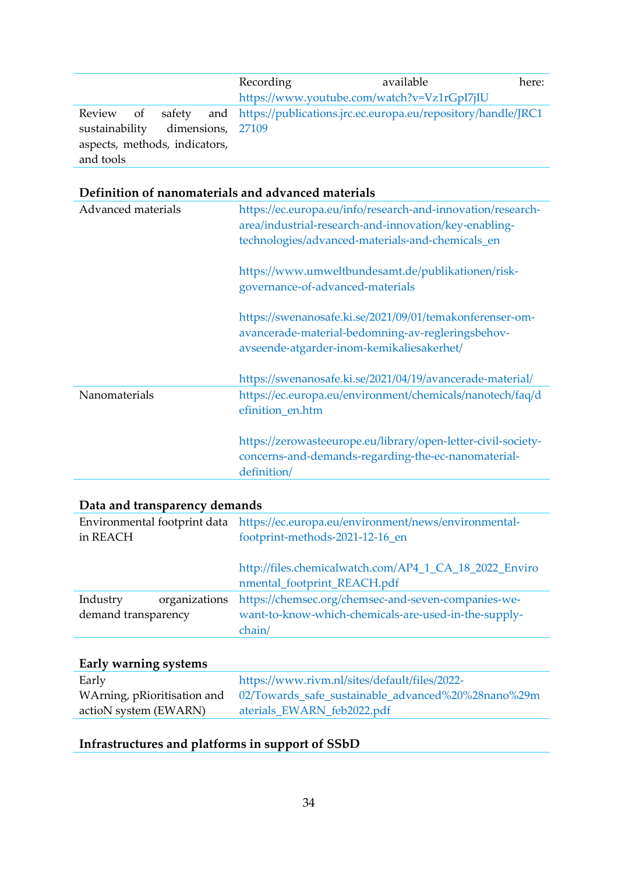|                               |                   | Recording | available                                                               | here: |
|-------------------------------|-------------------|-----------|-------------------------------------------------------------------------|-------|
|                               |                   |           | https://www.youtube.com/watch?v=Vz1rGpI7jIU                             |       |
| Review of                     |                   |           | safety and https://publications.jrc.ec.europa.eu/repository/handle/JRC1 |       |
| sustainability                | dimensions, 27109 |           |                                                                         |       |
| aspects, methods, indicators, |                   |           |                                                                         |       |
| and tools                     |                   |           |                                                                         |       |

#### **Definition of nanomaterials and advanced materials**

| Advanced materials | https://ec.europa.eu/info/research-and-innovation/research-<br>area/industrial-research-and-innovation/key-enabling-<br>technologies/advanced-materials-and-chemicals_en |
|--------------------|--------------------------------------------------------------------------------------------------------------------------------------------------------------------------|
|                    | https://www.umweltbundesamt.de/publikationen/risk-<br>governance-of-advanced-materials                                                                                   |
|                    | https://swenanosafe.ki.se/2021/09/01/temakonferenser-om-<br>avancerade-material-bedomning-av-regleringsbehov-<br>avseende-atgarder-inom-kemikaliesakerhet/               |
|                    | https://swenanosafe.ki.se/2021/04/19/avancerade-material/                                                                                                                |
| Nanomaterials      | https://ec.europa.eu/environment/chemicals/nanotech/faq/d<br>efinition_en.htm                                                                                            |
|                    | https://zerowasteeurope.eu/library/open-letter-civil-society-<br>concerns-and-demands-regarding-the-ec-nanomaterial-<br>definition/                                      |

#### **Data and transparency demands**

| Environmental footprint data<br>in REACH         | https://ec.europa.eu/environment/news/environmental-<br>footprint-methods-2021-12-16_en                     |
|--------------------------------------------------|-------------------------------------------------------------------------------------------------------------|
|                                                  | http://files.chemicalwatch.com/AP4_1_CA_18_2022_Enviro<br>nmental_footprint_REACH.pdf                       |
| Industry<br>organizations<br>demand transparency | https://chemsec.org/chemsec-and-seven-companies-we-<br>want-to-know-which-chemicals-are-used-in-the-supply- |
|                                                  | chain/                                                                                                      |

#### **Early warning systems**

| Early                 | https://www.rivm.nl/sites/default/files/2022-                                  |
|-----------------------|--------------------------------------------------------------------------------|
|                       | WArning, pRioritisation and 02/Towards_safe_sustainable_advanced%20%28nano%29m |
| actioN system (EWARN) | aterials_EWARN_feb2022.pdf                                                     |

## **Infrastructures and platforms in support of SSbD**